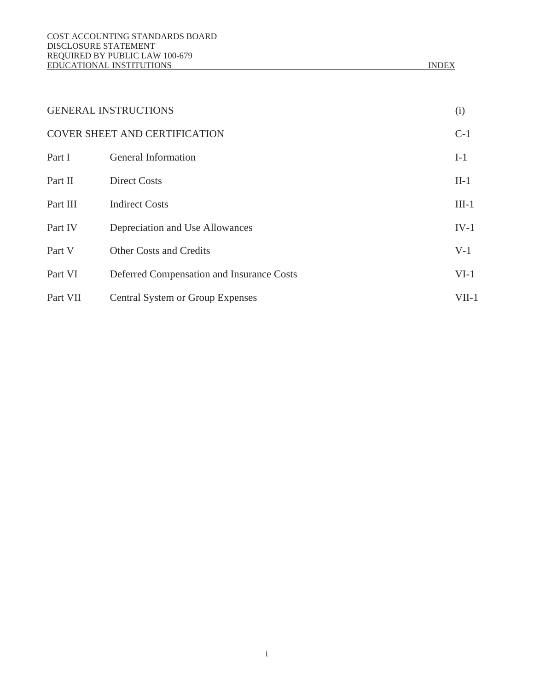|          | <b>GENERAL INSTRUCTIONS</b>                      | (i)     |
|----------|--------------------------------------------------|---------|
|          | <b>COVER SHEET AND CERTIFICATION</b>             | $C-1$   |
| Part I   | <b>General Information</b>                       | $I-1$   |
| Part II  | <b>Direct Costs</b>                              | $II-1$  |
| Part III | <b>Indirect Costs</b>                            | $III-1$ |
| Part IV  | <b>Depreciation and Use Allowances</b>           | $IV-1$  |
| Part V   | <b>Other Costs and Credits</b>                   | $V-1$   |
| Part VI  | <b>Deferred Compensation and Insurance Costs</b> | $VI-1$  |
| Part VII | <b>Central System or Group Expenses</b>          | $VII-1$ |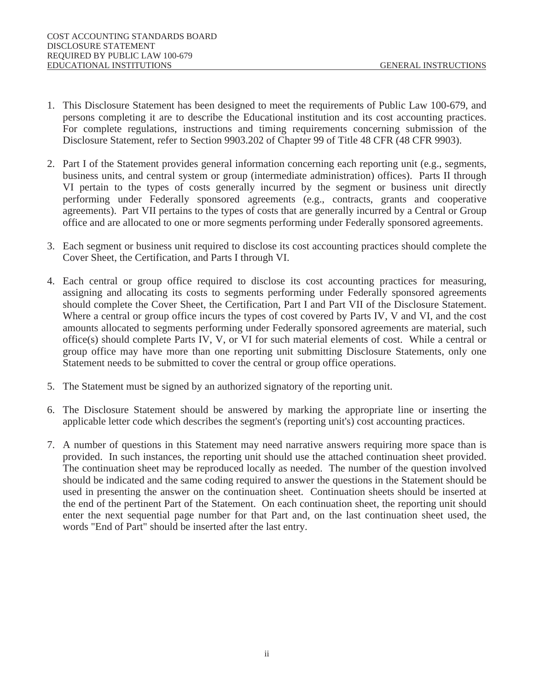- 1. This Disclosure Statement has been designed to meet the requirements of Public Law 100-679, and persons completing it are to describe the Educational institution and its cost accounting practices. For complete regulations, instructions and timing requirements concerning submission of the Disclosure Statement, refer to Section 9903.202 of Chapter 99 of Title 48 CFR (48 CFR 9903).
- 2. Part I of the Statement provides general information concerning each reporting unit (e.g., segments, business units, and central system or group (intermediate administration) offices). Parts II through VI pertain to the types of costs generally incurred by the segment or business unit directly performing under Federally sponsored agreements (e.g., contracts, grants and cooperative agreements). Part VII pertains to the types of costs that are generally incurred by a Central or Group office and are allocated to one or more segments performing under Federally sponsored agreements.
- 3. Each segment or business unit required to disclose its cost accounting practices should complete the Cover Sheet, the Certification, and Parts I through VI.
- 4. Each central or group office required to disclose its cost accounting practices for measuring, assigning and allocating its costs to segments performing under Federally sponsored agreements should complete the Cover Sheet, the Certification, Part I and Part VII of the Disclosure Statement. Where a central or group office incurs the types of cost covered by Parts IV, V and VI, and the cost amounts allocated to segments performing under Federally sponsored agreements are material, such office(s) should complete Parts IV, V, or VI for such material elements of cost. While a central or group office may have more than one reporting unit submitting Disclosure Statements, only one Statement needs to be submitted to cover the central or group office operations.
- 5. The Statement must be signed by an authorized signatory of the reporting unit.
- 6. The Disclosure Statement should be answered by marking the appropriate line or inserting the applicable letter code which describes the segment's (reporting unit's) cost accounting practices.
- 7. A number of questions in this Statement may need narrative answers requiring more space than is provided. In such instances, the reporting unit should use the attached continuation sheet provided. The continuation sheet may be reproduced locally as needed. The number of the question involved should be indicated and the same coding required to answer the questions in the Statement should be used in presenting the answer on the continuation sheet. Continuation sheets should be inserted at the end of the pertinent Part of the Statement. On each continuation sheet, the reporting unit should enter the next sequential page number for that Part and, on the last continuation sheet used, the words "End of Part" should be inserted after the last entry.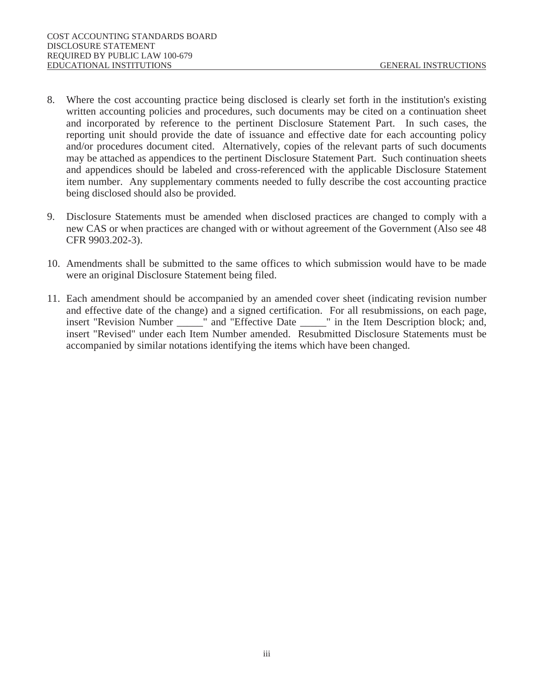- 8. Where the cost accounting practice being disclosed is clearly set forth in the institution's existing written accounting policies and procedures, such documents may be cited on a continuation sheet and incorporated by reference to the pertinent Disclosure Statement Part. In such cases, the reporting unit should provide the date of issuance and effective date for each accounting policy and/or procedures document cited. Alternatively, copies of the relevant parts of such documents may be attached as appendices to the pertinent Disclosure Statement Part. Such continuation sheets and appendices should be labeled and cross-referenced with the applicable Disclosure Statement item number. Any supplementary comments needed to fully describe the cost accounting practice being disclosed should also be provided.
- 9. Disclosure Statements must be amended when disclosed practices are changed to comply with a new CAS or when practices are changed with or without agreement of the Government (Also see 48 CFR 9903.202-3).
- 10. Amendments shall be submitted to the same offices to which submission would have to be made were an original Disclosure Statement being filed.
- 11. Each amendment should be accompanied by an amended cover sheet (indicating revision number and effective date of the change) and a signed certification. For all resubmissions, on each page, insert "Revision Number \_\_\_\_\_" and "Effective Date \_\_\_\_" in the Item Description block: and.  $\frac{1}{\sqrt{2}}$  and "Effective Date  $\frac{1}{\sqrt{2}}$ " in the Item Description block; and, insert "Revised" under each Item Number amended. Resubmitted Disclosure Statements must be accompanied by similar notations identifying the items which have been changed.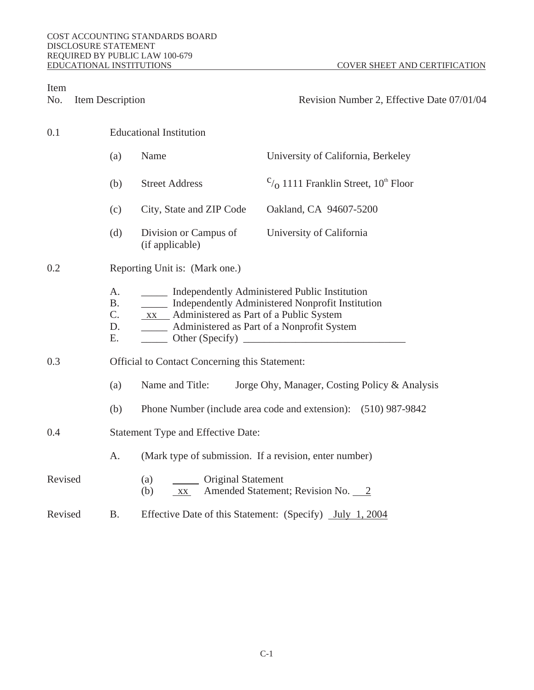| Item<br>No.    | <b>Item Description</b>                       |                                                                                                                                                                  | Revision Number 2, Effective Date 07/01/04                               |  |  |
|----------------|-----------------------------------------------|------------------------------------------------------------------------------------------------------------------------------------------------------------------|--------------------------------------------------------------------------|--|--|
| 0.1            |                                               | <b>Educational Institution</b>                                                                                                                                   |                                                                          |  |  |
|                | (a)                                           | <b>Name</b>                                                                                                                                                      | University of California, Berkeley                                       |  |  |
|                | (b)                                           | <b>Street Address</b>                                                                                                                                            | $\mathcal{C}_{\mathcal{O}}$ 1111 Franklin Street, 10 <sup>th</sup> Floor |  |  |
|                | (c)                                           | City, State and ZIP Code                                                                                                                                         | Oakland, CA 94607-5200                                                   |  |  |
|                | (d)                                           | Division or Campus of<br>(if applicable)                                                                                                                         | <b>University of California</b>                                          |  |  |
| 0.2            |                                               | <b>Reporting Unit is: (Mark one.)</b>                                                                                                                            |                                                                          |  |  |
|                | A.<br><b>B.</b><br>$\mathbf{C}$ .<br>D.<br>Е. | <b>EXECUTE:</b> Independently Administered Public Institution<br>xx Administered as Part of a Public System<br>______ Administered as Part of a Nonprofit System | _____ Independently Administered Nonprofit Institution                   |  |  |
| 0.3            |                                               | <b>Official to Contact Concerning this Statement:</b>                                                                                                            |                                                                          |  |  |
|                | (a)                                           | Name and Title:                                                                                                                                                  | Jorge Ohy, Manager, Costing Policy & Analysis                            |  |  |
|                | (b)                                           |                                                                                                                                                                  | Phone Number (include area code and extension): (510) 987-9842           |  |  |
| 0.4            |                                               | <b>Statement Type and Effective Date:</b>                                                                                                                        |                                                                          |  |  |
|                | A.                                            | (Mark type of submission. If a revision, enter number)                                                                                                           |                                                                          |  |  |
| <b>Revised</b> |                                               | <b>Original Statement</b><br>(a)<br>(b)<br><b>XX</b>                                                                                                             | <b>Amended Statement; Revision No. 2</b>                                 |  |  |
| <b>Revised</b> | <b>B.</b>                                     |                                                                                                                                                                  | Effective Date of this Statement: (Specify) July 1, 2004                 |  |  |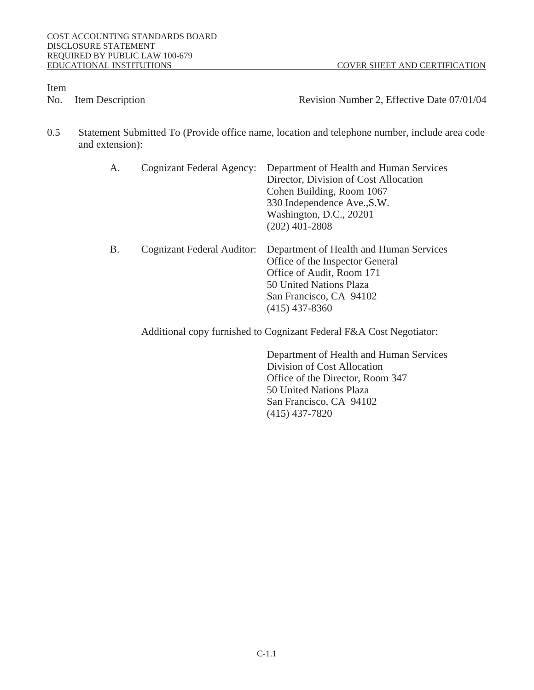No. Item Description **Revision Number 2**, Effective Date 07/01/04

0.5 Statement Submitted To (Provide office name, location and telephone number, include area code and extension):

| A. | <b>Cognizant Federal Agency:</b>  | <b>Department of Health and Human Services</b><br><b>Director, Division of Cost Allocation</b><br><b>Cohen Building, Room 1067</b><br>330 Independence Ave., S.W.<br>Washington, D.C., 20201<br>$(202)$ 401-2808 |
|----|-----------------------------------|------------------------------------------------------------------------------------------------------------------------------------------------------------------------------------------------------------------|
| B. | <b>Cognizant Federal Auditor:</b> | <b>Department of Health and Human Services</b><br><b>Office of the Inspector General</b><br>Office of Audit, Room 171<br><b>50 United Nations Plaza</b><br>San Francisco, CA 94102<br>$(415)$ 437-8360           |
|    |                                   | Additional copy furnished to Cognizant Federal F&A Cost Negotiator:                                                                                                                                              |

 Department of Health and Human Services Division of Cost Allocation Office of the Director, Room 347 50 United Nations Plaza San Francisco, CA 94102 (415) 437-7820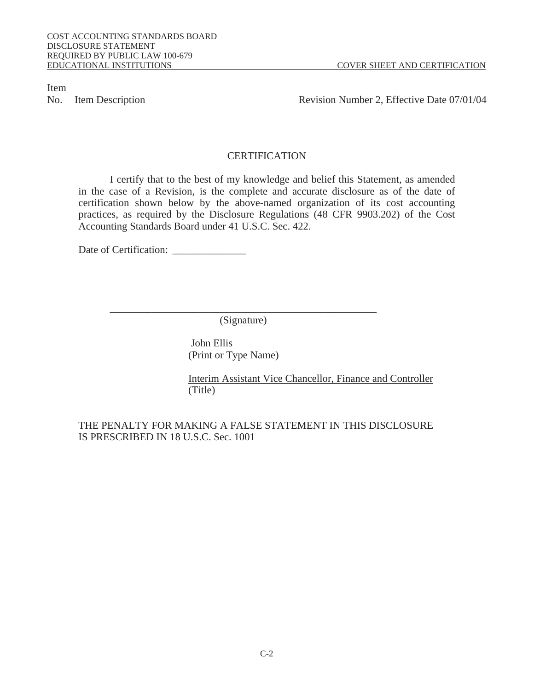No. Item Description **Revision Number 2, Effective Date 07/01/04** 

# **CERTIFICATION**

 I certify that to the best of my knowledge and belief this Statement, as amended in the case of a Revision, is the complete and accurate disclosure as of the date of certification shown below by the above-named organization of its cost accounting practices, as required by the Disclosure Regulations (48 CFR 9903.202) of the Cost Accounting Standards Board under 41 U.S.C. Sec. 422.

Date of Certification:

(Signature)

 John Ellis (Print or Type Name)

\_\_\_\_\_\_\_\_\_\_\_\_\_\_\_\_\_\_\_\_\_\_\_\_\_\_\_\_\_\_\_\_\_\_\_\_\_\_\_\_\_\_\_\_\_\_\_\_\_\_\_

Interim Assistant Vice Chancellor, Finance and Controller (Title)

THE PENALTY FOR MAKING A FALSE STATEMENT IN THIS DISCLOSURE IS PRESCRIBED IN 18 U.S.C. Sec. 1001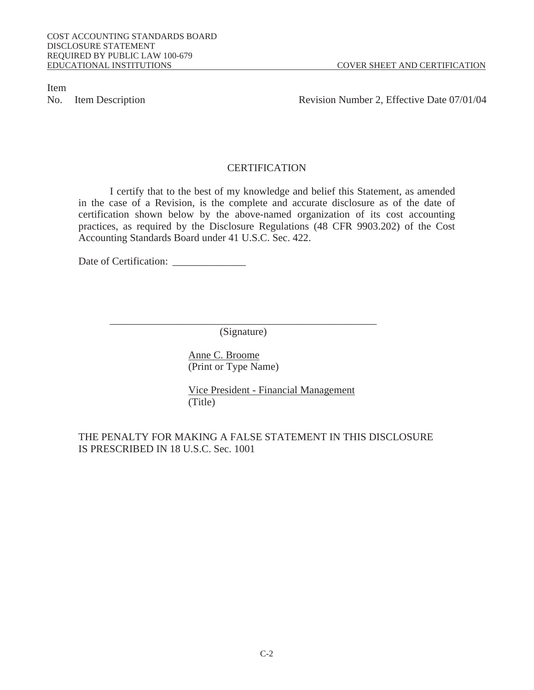No. Item Description **Revision Number 2, Effective Date 07/01/04** 

# **CERTIFICATION**

 I certify that to the best of my knowledge and belief this Statement, as amended in the case of a Revision, is the complete and accurate disclosure as of the date of certification shown below by the above-named organization of its cost accounting practices, as required by the Disclosure Regulations (48 CFR 9903.202) of the Cost Accounting Standards Board under 41 U.S.C. Sec. 422.

Date of Certification:

(Signature)

Anne C. Broome (Print or Type Name)

\_\_\_\_\_\_\_\_\_\_\_\_\_\_\_\_\_\_\_\_\_\_\_\_\_\_\_\_\_\_\_\_\_\_\_\_\_\_\_\_\_\_\_\_\_\_\_\_\_\_\_

Vice President - Financial Management (Title)

# THE PENALTY FOR MAKING A FALSE STATEMENT IN THIS DISCLOSURE IS PRESCRIBED IN 18 U.S.C. Sec. 1001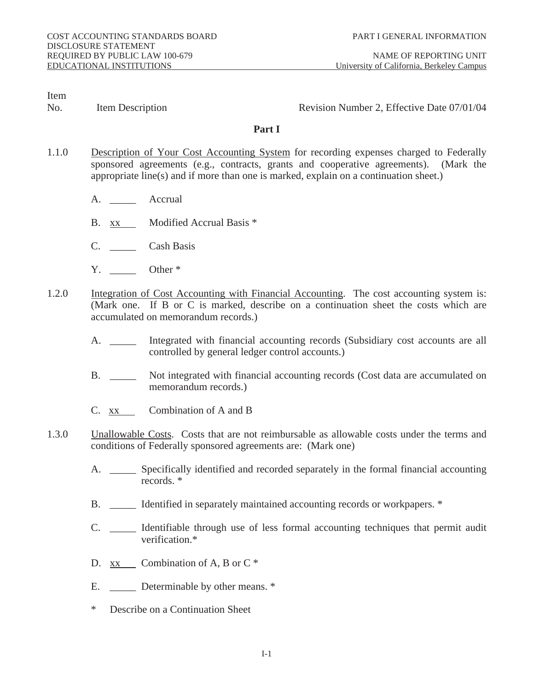No. Item Description **Revision Number 2, Effective Date 07/01/04** 

# **Part I**

- 1.1.0 Description of Your Cost Accounting System for recording expenses charged to Federally sponsored agreements (e.g., contracts, grants and cooperative agreements). (Mark the appropriate line(s) and if more than one is marked, explain on a continuation sheet.)
	- A. Accrual
	- B. xx Modified Accrual Basis \*
	- C. \_\_\_\_\_ Cash Basis
	- Y. Other \*
- 1.2.0 Integration of Cost Accounting with Financial Accounting. The cost accounting system is: (Mark one. If B or C is marked, describe on a continuation sheet the costs which are accumulated on memorandum records.)
	- A. \_\_\_\_\_\_ Integrated with financial accounting records (Subsidiary cost accounts are all controlled by general ledger control accounts.)
	- B. \_\_\_\_\_\_ Not integrated with financial accounting records (Cost data are accumulated on memorandum records.)
	- C. xx Combination of A and B
- 1.3.0 Unallowable Costs. Costs that are not reimbursable as allowable costs under the terms and conditions of Federally sponsored agreements are: (Mark one)
	- A. \_\_\_\_\_\_\_ Specifically identified and recorded separately in the formal financial accounting records. \*
	- B. **IDENTIFIED IS EXECUTE:** B. The Intervalse of the Intervalse of the Intervalse or workpapers. \*
	- C. \_\_\_\_\_ Identifiable through use of less formal accounting techniques that permit audit verification.\*
	- D.  $xx$  Combination of A, B or C  $*$
	- E. **Determinable by other means.** \*
	- \* Describe on a Continuation Sheet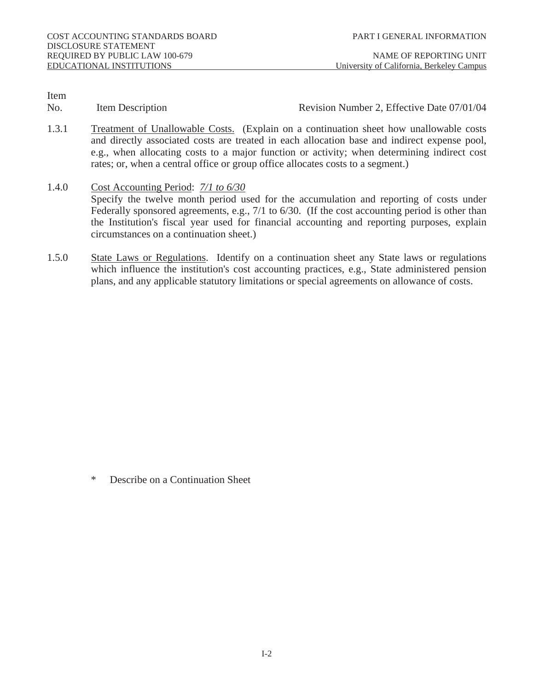No. Item Description **Revision Number 2, Effective Date 07/01/04** 

- 1.3.1 Treatment of Unallowable Costs. (Explain on a continuation sheet how unallowable costs and directly associated costs are treated in each allocation base and indirect expense pool, e.g., when allocating costs to a major function or activity; when determining indirect cost rates; or, when a central office or group office allocates costs to a segment.)
- 1.4.0 Cost Accounting Period: *7/1 to 6/30* Specify the twelve month period used for the accumulation and reporting of costs under Federally sponsored agreements, e.g., 7/1 to 6/30. (If the cost accounting period is other than the Institution's fiscal year used for financial accounting and reporting purposes, explain circumstances on a continuation sheet.)
- 1.5.0 State Laws or Regulations. Identify on a continuation sheet any State laws or regulations which influence the institution's cost accounting practices, e.g., State administered pension plans, and any applicable statutory limitations or special agreements on allowance of costs.

Describe on a Continuation Sheet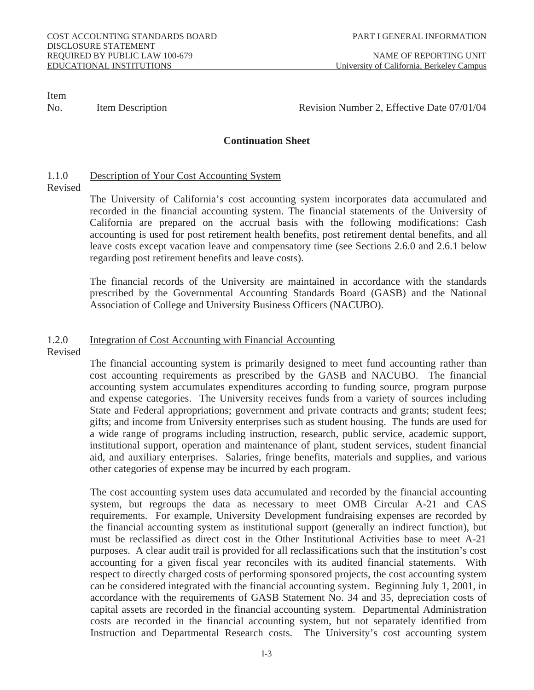No. Item Description **Item Australian Control** Revision Number 2, Effective Date 07/01/04

# **Continuation Sheet**

# 1.1.0 Description of Your Cost Accounting System

Revised

 The University of California's cost accounting system incorporates data accumulated and recorded in the financial accounting system. The financial statements of the University of California are prepared on the accrual basis with the following modifications: Cash accounting is used for post retirement health benefits, post retirement dental benefits, and all leave costs except vacation leave and compensatory time (see Sections 2.6.0 and 2.6.1 below regarding post retirement benefits and leave costs).

 The financial records of the University are maintained in accordance with the standards prescribed by the Governmental Accounting Standards Board (GASB) and the National Association of College and University Business Officers (NACUBO).

### 1.2.0 Integration of Cost Accounting with Financial Accounting

Revised

 The financial accounting system is primarily designed to meet fund accounting rather than cost accounting requirements as prescribed by the GASB and NACUBO. The financial accounting system accumulates expenditures according to funding source, program purpose and expense categories. The University receives funds from a variety of sources including State and Federal appropriations; government and private contracts and grants; student fees; gifts; and income from University enterprises such as student housing. The funds are used for a wide range of programs including instruction, research, public service, academic support, institutional support, operation and maintenance of plant, student services, student financial aid, and auxiliary enterprises. Salaries, fringe benefits, materials and supplies, and various other categories of expense may be incurred by each program.

The cost accounting system uses data accumulated and recorded by the financial accounting system, but regroups the data as necessary to meet OMB Circular A-21 and CAS requirements. For example, University Development fundraising expenses are recorded by the financial accounting system as institutional support (generally an indirect function), but must be reclassified as direct cost in the Other Institutional Activities base to meet A-21 purposes. A clear audit trail is provided for all reclassifications such that the institution's cost accounting for a given fiscal year reconciles with its audited financial statements. With respect to directly charged costs of performing sponsored projects, the cost accounting system can be considered integrated with the financial accounting system. Beginning July 1, 2001, in accordance with the requirements of GASB Statement No. 34 and 35, depreciation costs of capital assets are recorded in the financial accounting system. Departmental Administration costs are recorded in the financial accounting system, but not separately identified from Instruction and Departmental Research costs. The University's cost accounting system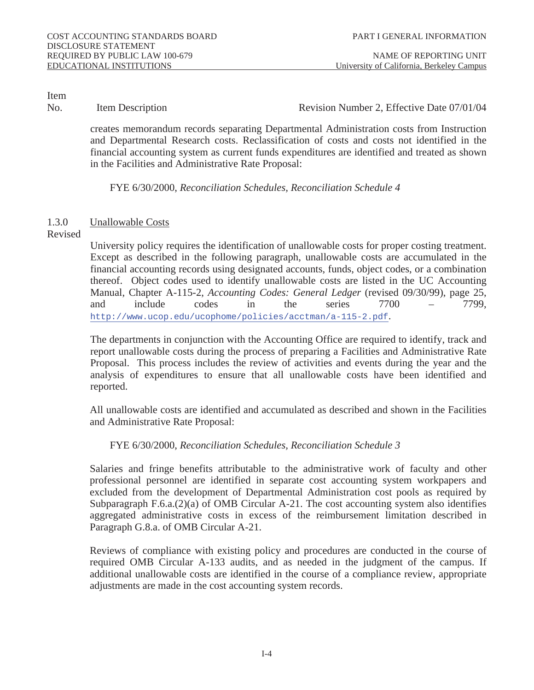No. Item Description **Revision Number 2, Effective Date 07/01/04** 

creates memorandum records separating Departmental Administration costs from Instruction and Departmental Research costs. Reclassification of costs and costs not identified in the financial accounting system as current funds expenditures are identified and treated as shown in the Facilities and Administrative Rate Proposal:

FYE 6/30/2000, *Reconciliation Schedules, Reconciliation Schedule 4* 

# 1.3.0 Unallowable Costs

# Revised

 University policy requires the identification of unallowable costs for proper costing treatment. Except as described in the following paragraph, unallowable costs are accumulated in the financial accounting records using designated accounts, funds, object codes, or a combination thereof. Object codes used to identify unallowable costs are listed in the UC Accounting Manual, Chapter A-115-2, *Accounting Codes: General Ledger* (revised 09/30/99), page 25, and include codes in the series 7700 – 7799, http://www.ucop.edu/ucophome/policies/acctman/a-115-2.pdf.

The departments in conjunction with the Accounting Office are required to identify, track and report unallowable costs during the process of preparing a Facilities and Administrative Rate Proposal. This process includes the review of activities and events during the year and the analysis of expenditures to ensure that all unallowable costs have been identified and reported.

All unallowable costs are identified and accumulated as described and shown in the Facilities and Administrative Rate Proposal:

FYE 6/30/2000, *Reconciliation Schedules, Reconciliation Schedule 3* 

 Salaries and fringe benefits attributable to the administrative work of faculty and other professional personnel are identified in separate cost accounting system workpapers and excluded from the development of Departmental Administration cost pools as required by Subparagraph F.6.a.(2)(a) of OMB Circular A-21. The cost accounting system also identifies aggregated administrative costs in excess of the reimbursement limitation described in Paragraph G.8.a. of OMB Circular A-21.

 Reviews of compliance with existing policy and procedures are conducted in the course of required OMB Circular A-133 audits, and as needed in the judgment of the campus. If additional unallowable costs are identified in the course of a compliance review, appropriate adjustments are made in the cost accounting system records.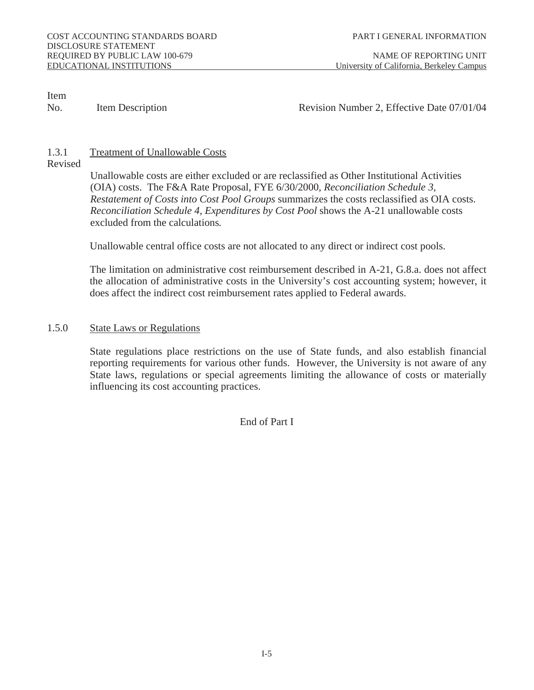No. Item Description **Revision Number 2, Effective Date 07/01/04** 

# 1.3.1 Treatment of Unallowable Costs

# Revised

Unallowable costs are either excluded or are reclassified as Other Institutional Activities (OIA) costs. The F&A Rate Proposal, FYE 6/30/2000, *Reconciliation Schedule 3, Restatement of Costs into Cost Pool Groups* summarizes the costs reclassified as OIA costs. *Reconciliation Schedule 4, Expenditures by Cost Pool* shows the A-21 unallowable costs excluded from the calculations*.*

Unallowable central office costs are not allocated to any direct or indirect cost pools.

 The limitation on administrative cost reimbursement described in A-21, G.8.a. does not affect the allocation of administrative costs in the University's cost accounting system; however, it does affect the indirect cost reimbursement rates applied to Federal awards.

### 1.5.0 State Laws or Regulations

 State regulations place restrictions on the use of State funds, and also establish financial reporting requirements for various other funds. However, the University is not aware of any State laws, regulations or special agreements limiting the allowance of costs or materially influencing its cost accounting practices.

End of Part I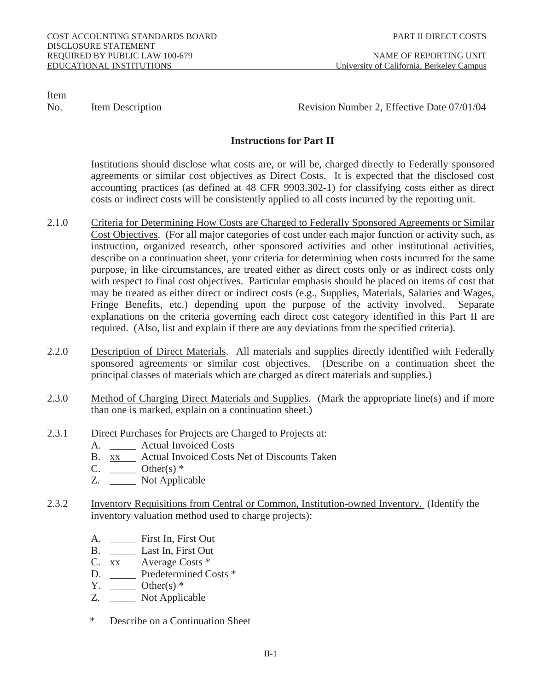No. Item Description **Revision Number 2, Effective Date 07/01/04** 

# **Instructions for Part II**

 Institutions should disclose what costs are, or will be, charged directly to Federally sponsored agreements or similar cost objectives as Direct Costs. It is expected that the disclosed cost accounting practices (as defined at 48 CFR 9903.302-1) for classifying costs either as direct costs or indirect costs will be consistently applied to all costs incurred by the reporting unit.

- 2.1.0 Criteria for Determining How Costs are Charged to Federally Sponsored Agreements or Similar Cost Objectives. (For all major categories of cost under each major function or activity such, as instruction, organized research, other sponsored activities and other institutional activities, describe on a continuation sheet, your criteria for determining when costs incurred for the same purpose, in like circumstances, are treated either as direct costs only or as indirect costs only with respect to final cost objectives. Particular emphasis should be placed on items of cost that may be treated as either direct or indirect costs (e.g., Supplies, Materials, Salaries and Wages, Fringe Benefits, etc.) depending upon the purpose of the activity involved. Separate explanations on the criteria governing each direct cost category identified in this Part II are required. (Also, list and explain if there are any deviations from the specified criteria).
- 2.2.0 Description of Direct Materials. All materials and supplies directly identified with Federally sponsored agreements or similar cost objectives. (Describe on a continuation sheet the principal classes of materials which are charged as direct materials and supplies.)
- 2.3.0 Method of Charging Direct Materials and Supplies. (Mark the appropriate line(s) and if more than one is marked, explain on a continuation sheet.)
- 2.3.1 Direct Purchases for Projects are Charged to Projects at:
	- A. \_\_\_\_\_ Actual Invoiced Costs
	- B. xx Actual Invoiced Costs Net of Discounts Taken
	- C.  $\rule{1em}{0.15mm} Other(s) *$
	- Z. \_\_\_\_\_ Not Applicable
- 2.3.2 Inventory Requisitions from Central or Common, Institution-owned Inventory. (Identify the inventory valuation method used to charge projects):
	- A. \_\_\_\_\_ First In, First Out
	- B. \_\_\_\_\_ Last In, First Out
	- C. xx Average Costs \*
	- D. \_\_\_\_\_ Predetermined Costs \*
	- $Y.$  Other(s)  $*$
	- Z. \_\_\_\_\_ Not Applicable
	- Describe on a Continuation Sheet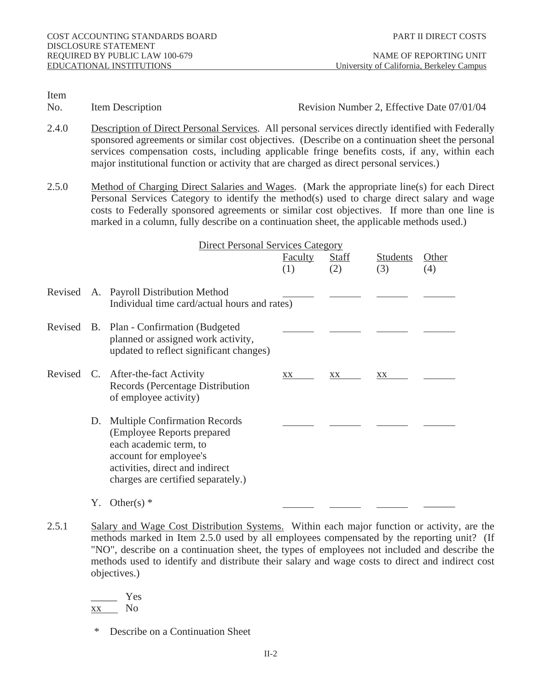No. Item Description Revision Number 2, Effective Date 07/01/04

- 2.4.0 Description of Direct Personal Services. All personal services directly identified with Federally sponsored agreements or similar cost objectives. (Describe on a continuation sheet the personal services compensation costs, including applicable fringe benefits costs, if any, within each major institutional function or activity that are charged as direct personal services.)
- 2.5.0 Method of Charging Direct Salaries and Wages. (Mark the appropriate line(s) for each Direct Personal Services Category to identify the method(s) used to charge direct salary and wage costs to Federally sponsored agreements or similar cost objectives. If more than one line is marked in a column, fully describe on a continuation sheet, the applicable methods used.)

| <b>Direct Personal Services Category</b> |                                                                                                                                                                                                 |                       |                     |                        |                                   |
|------------------------------------------|-------------------------------------------------------------------------------------------------------------------------------------------------------------------------------------------------|-----------------------|---------------------|------------------------|-----------------------------------|
|                                          |                                                                                                                                                                                                 | <b>Faculty</b><br>(1) | <b>Staff</b><br>(2) | <b>Students</b><br>(3) | <b>Other</b><br>$\left( 4\right)$ |
|                                          | Revised A. Payroll Distribution Method<br>Individual time card/actual hours and rates)                                                                                                          |                       |                     |                        |                                   |
|                                          | Revised B. Plan - Confirmation (Budgeted<br>planned or assigned work activity,<br>updated to reflect significant changes)                                                                       |                       |                     |                        |                                   |
|                                          | Revised C. After-the-fact Activity<br><b>Records (Percentage Distribution</b><br>of employee activity)                                                                                          | XX                    | XX                  | XX                     |                                   |
| D.                                       | <b>Multiple Confirmation Records</b><br>(Employee Reports prepared<br>each academic term, to<br>account for employee's<br>activities, direct and indirect<br>charges are certified separately.) |                       |                     |                        |                                   |
| Y.                                       | Other(s) $*$                                                                                                                                                                                    |                       |                     |                        |                                   |

2.5.1 Salary and Wage Cost Distribution Systems. Within each major function or activity, are the methods marked in Item 2.5.0 used by all employees compensated by the reporting unit? (If "NO", describe on a continuation sheet, the types of employees not included and describe the methods used to identify and distribute their salary and wage costs to direct and indirect cost objectives.)

 \_\_\_\_\_ Yes xx No

\* Describe on a Continuation Sheet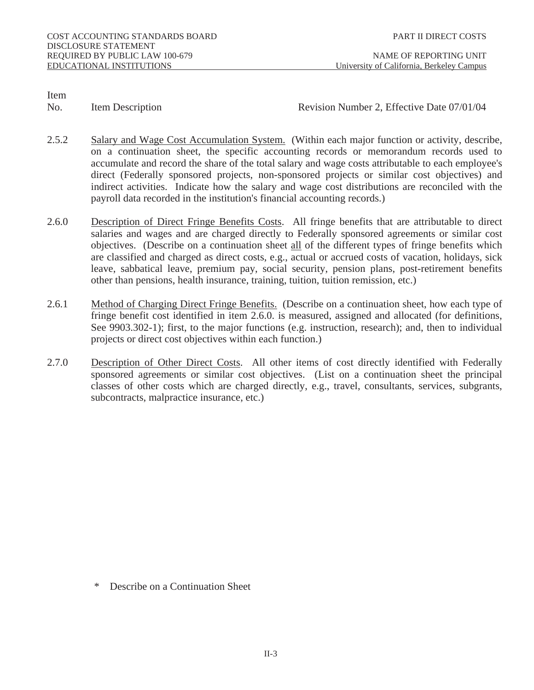No. Item Description Revision Number 2, Effective Date 07/01/04

- 2.5.2 Salary and Wage Cost Accumulation System. (Within each major function or activity, describe, on a continuation sheet, the specific accounting records or memorandum records used to accumulate and record the share of the total salary and wage costs attributable to each employee's direct (Federally sponsored projects, non-sponsored projects or similar cost objectives) and indirect activities. Indicate how the salary and wage cost distributions are reconciled with the payroll data recorded in the institution's financial accounting records.)
- 2.6.0 Description of Direct Fringe Benefits Costs. All fringe benefits that are attributable to direct salaries and wages and are charged directly to Federally sponsored agreements or similar cost objectives. (Describe on a continuation sheet all of the different types of fringe benefits which are classified and charged as direct costs, e.g., actual or accrued costs of vacation, holidays, sick leave, sabbatical leave, premium pay, social security, pension plans, post-retirement benefits other than pensions, health insurance, training, tuition, tuition remission, etc.)
- 2.6.1 Method of Charging Direct Fringe Benefits. (Describe on a continuation sheet, how each type of fringe benefit cost identified in item 2.6.0. is measured, assigned and allocated (for definitions, See 9903.302-1); first, to the major functions (e.g. instruction, research); and, then to individual projects or direct cost objectives within each function.)
- 2.7.0 Description of Other Direct Costs. All other items of cost directly identified with Federally sponsored agreements or similar cost objectives. (List on a continuation sheet the principal classes of other costs which are charged directly, e.g., travel, consultants, services, subgrants, subcontracts, malpractice insurance, etc.)

\* Describe on a Continuation Sheet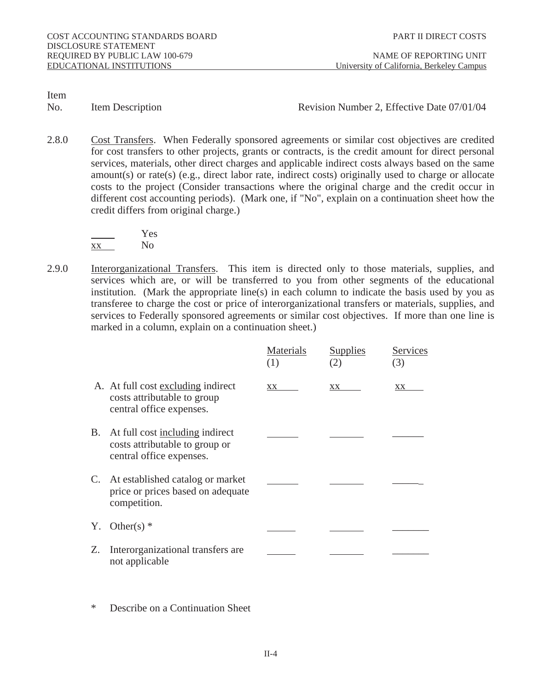No. Item Description **Revision Number 2, Effective Date 07/01/04** 

2.8.0 Cost Transfers. When Federally sponsored agreements or similar cost objectives are credited for cost transfers to other projects, grants or contracts, is the credit amount for direct personal services, materials, other direct charges and applicable indirect costs always based on the same amount(s) or rate(s) (e.g., direct labor rate, indirect costs) originally used to charge or allocate costs to the project (Consider transactions where the original charge and the credit occur in different cost accounting periods). (Mark one, if "No", explain on a continuation sheet how the credit differs from original charge.)

 Yes xx No

2.9.0 Interorganizational Transfers. This item is directed only to those materials, supplies, and services which are, or will be transferred to you from other segments of the educational institution. (Mark the appropriate line(s) in each column to indicate the basis used by you as transferee to charge the cost or price of interorganizational transfers or materials, supplies, and services to Federally sponsored agreements or similar cost objectives. If more than one line is marked in a column, explain on a continuation sheet.)

|                                                                                                  | <b>Materials</b><br>(1) | <b>Supplies</b><br>(2) | <b>Services</b><br>(3) |
|--------------------------------------------------------------------------------------------------|-------------------------|------------------------|------------------------|
| A. At full cost excluding indirect<br>costs attributable to group<br>central office expenses.    | XX                      | XX                     | XX                     |
| B. At full cost including indirect<br>costs attributable to group or<br>central office expenses. |                         |                        |                        |
| C. At established catalog or market<br>price or prices based on adequate<br>competition.         |                         |                        |                        |
| Y. Other(s) $*$                                                                                  |                         |                        |                        |
| Z. Interorganizational transfers are<br>not applicable                                           |                         |                        |                        |

Describe on a Continuation Sheet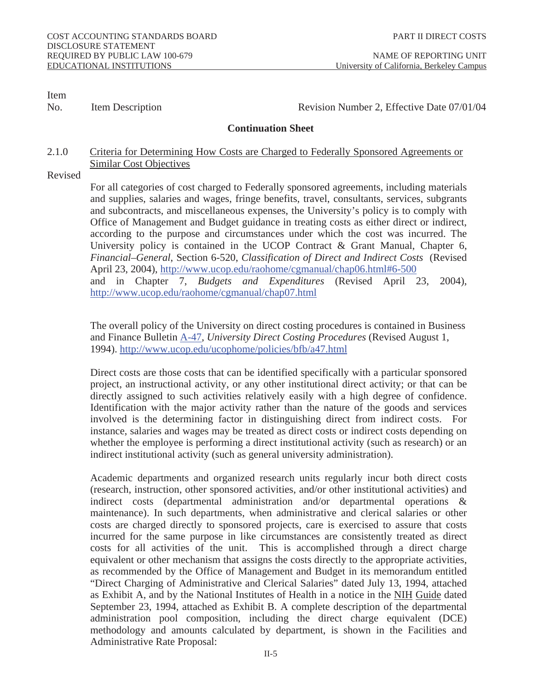No. Item Description **Revision Number 2, Effective Date 07/01/04** 

#### **Continuation Sheet**

# 2.1.0 Criteria for Determining How Costs are Charged to Federally Sponsored Agreements or Similar Cost Objectives

Revised

 For all categories of cost charged to Federally sponsored agreements, including materials and supplies, salaries and wages, fringe benefits, travel, consultants, services, subgrants and subcontracts, and miscellaneous expenses, the University's policy is to comply with Office of Management and Budget guidance in treating costs as either direct or indirect, according to the purpose and circumstances under which the cost was incurred. The University policy is contained in the UCOP Contract & Grant Manual, Chapter 6, *Financial–General*, Section 6-520, *Classification of Direct and Indirect Costs* (Revised April 23, 2004), http://www.ucop.edu/raohome/cgmanual/chap06.html#6-500 and in Chapter 7, *Budgets and Expenditures* (Revised April 23, 2004), http://www.ucop.edu/raohome/cgmanual/chap07.html

The overall policy of the University on direct costing procedures is contained in Business and Finance Bulletin A-47, *University Direct Costing Procedures* (Revised August 1, 1994). http://www.ucop.edu/ucophome/policies/bfb/a47.html

 Direct costs are those costs that can be identified specifically with a particular sponsored project, an instructional activity, or any other institutional direct activity; or that can be directly assigned to such activities relatively easily with a high degree of confidence. Identification with the major activity rather than the nature of the goods and services involved is the determining factor in distinguishing direct from indirect costs. For instance, salaries and wages may be treated as direct costs or indirect costs depending on whether the employee is performing a direct institutional activity (such as research) or an indirect institutional activity (such as general university administration).

 Academic departments and organized research units regularly incur both direct costs (research, instruction, other sponsored activities, and/or other institutional activities) and indirect costs (departmental administration and/or departmental operations & maintenance). In such departments, when administrative and clerical salaries or other costs are charged directly to sponsored projects, care is exercised to assure that costs incurred for the same purpose in like circumstances are consistently treated as direct costs for all activities of the unit. This is accomplished through a direct charge equivalent or other mechanism that assigns the costs directly to the appropriate activities, as recommended by the Office of Management and Budget in its memorandum entitled "Direct Charging of Administrative and Clerical Salaries" dated July 13, 1994, attached as Exhibit A, and by the National Institutes of Health in a notice in the NIH Guide dated September 23, 1994, attached as Exhibit B. A complete description of the departmental administration pool composition, including the direct charge equivalent (DCE) methodology and amounts calculated by department, is shown in the Facilities and Administrative Rate Proposal: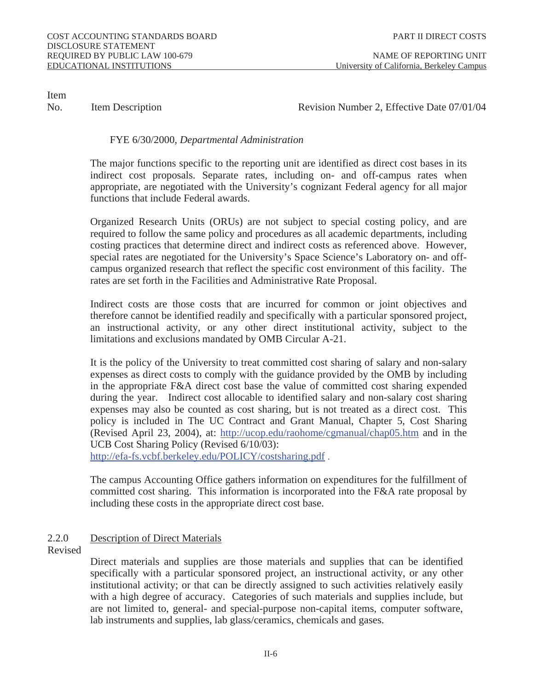No. Item Description **Revision Number 2, Effective Date 07/01/04** 

# FYE 6/30/2000, *Departmental Administration*

 The major functions specific to the reporting unit are identified as direct cost bases in its indirect cost proposals. Separate rates, including on- and off-campus rates when appropriate, are negotiated with the University's cognizant Federal agency for all major functions that include Federal awards.

Organized Research Units (ORUs) are not subject to special costing policy, and are required to follow the same policy and procedures as all academic departments, including costing practices that determine direct and indirect costs as referenced above. However, special rates are negotiated for the University's Space Science's Laboratory on- and offcampus organized research that reflect the specific cost environment of this facility. The rates are set forth in the Facilities and Administrative Rate Proposal.

 Indirect costs are those costs that are incurred for common or joint objectives and therefore cannot be identified readily and specifically with a particular sponsored project, an instructional activity, or any other direct institutional activity, subject to the limitations and exclusions mandated by OMB Circular A-21.

It is the policy of the University to treat committed cost sharing of salary and non-salary expenses as direct costs to comply with the guidance provided by the OMB by including in the appropriate F&A direct cost base the value of committed cost sharing expended during the year. Indirect cost allocable to identified salary and non-salary cost sharing expenses may also be counted as cost sharing, but is not treated as a direct cost. This policy is included in The UC Contract and Grant Manual, Chapter 5, Cost Sharing (Revised April 23, 2004), at: http://ucop.edu/raohome/cgmanual/chap05.htm and in the UCB Cost Sharing Policy (Revised 6/10/03):

http://efa-fs.vcbf.berkeley.edu/POLICY/costsharing.pdf.

The campus Accounting Office gathers information on expenditures for the fulfillment of committed cost sharing. This information is incorporated into the F&A rate proposal by including these costs in the appropriate direct cost base.

# 2.2.0 Description of Direct Materials

Revised

 Direct materials and supplies are those materials and supplies that can be identified specifically with a particular sponsored project, an instructional activity, or any other institutional activity; or that can be directly assigned to such activities relatively easily with a high degree of accuracy. Categories of such materials and supplies include, but are not limited to, general- and special-purpose non-capital items, computer software, lab instruments and supplies, lab glass/ceramics, chemicals and gases.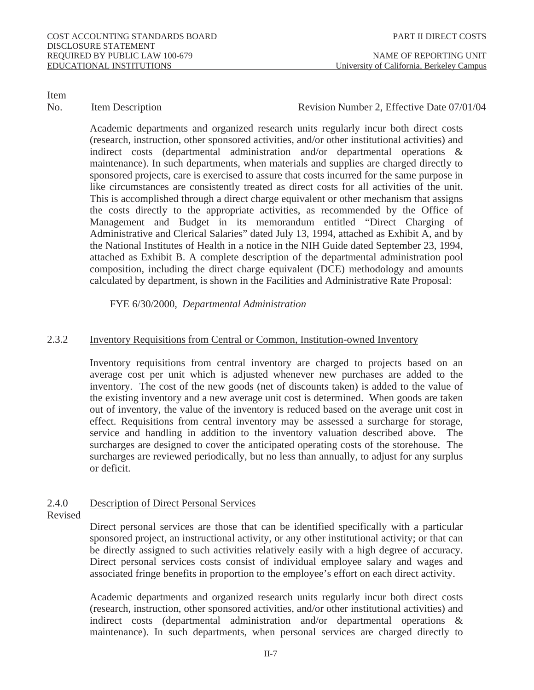### No. Item Description **Revision Number 2, Effective Date 07/01/04**

Academic departments and organized research units regularly incur both direct costs (research, instruction, other sponsored activities, and/or other institutional activities) and indirect costs (departmental administration and/or departmental operations & maintenance). In such departments, when materials and supplies are charged directly to sponsored projects, care is exercised to assure that costs incurred for the same purpose in like circumstances are consistently treated as direct costs for all activities of the unit. This is accomplished through a direct charge equivalent or other mechanism that assigns the costs directly to the appropriate activities, as recommended by the Office of Management and Budget in its memorandum entitled "Direct Charging of Administrative and Clerical Salaries" dated July 13, 1994, attached as Exhibit A, and by the National Institutes of Health in a notice in the NIH Guide dated September 23, 1994, attached as Exhibit B. A complete description of the departmental administration pool composition, including the direct charge equivalent (DCE) methodology and amounts calculated by department, is shown in the Facilities and Administrative Rate Proposal:

### FYE 6/30/2000, *Departmental Administration*

# 2.3.2 Inventory Requisitions from Central or Common, Institution-owned Inventory

 Inventory requisitions from central inventory are charged to projects based on an average cost per unit which is adjusted whenever new purchases are added to the inventory. The cost of the new goods (net of discounts taken) is added to the value of the existing inventory and a new average unit cost is determined. When goods are taken out of inventory, the value of the inventory is reduced based on the average unit cost in effect. Requisitions from central inventory may be assessed a surcharge for storage, service and handling in addition to the inventory valuation described above. The surcharges are designed to cover the anticipated operating costs of the storehouse. The surcharges are reviewed periodically, but no less than annually, to adjust for any surplus or deficit.

# 2.4.0 Description of Direct Personal Services

Revised

 Direct personal services are those that can be identified specifically with a particular sponsored project, an instructional activity, or any other institutional activity; or that can be directly assigned to such activities relatively easily with a high degree of accuracy. Direct personal services costs consist of individual employee salary and wages and associated fringe benefits in proportion to the employee's effort on each direct activity.

Academic departments and organized research units regularly incur both direct costs (research, instruction, other sponsored activities, and/or other institutional activities) and indirect costs (departmental administration and/or departmental operations & maintenance). In such departments, when personal services are charged directly to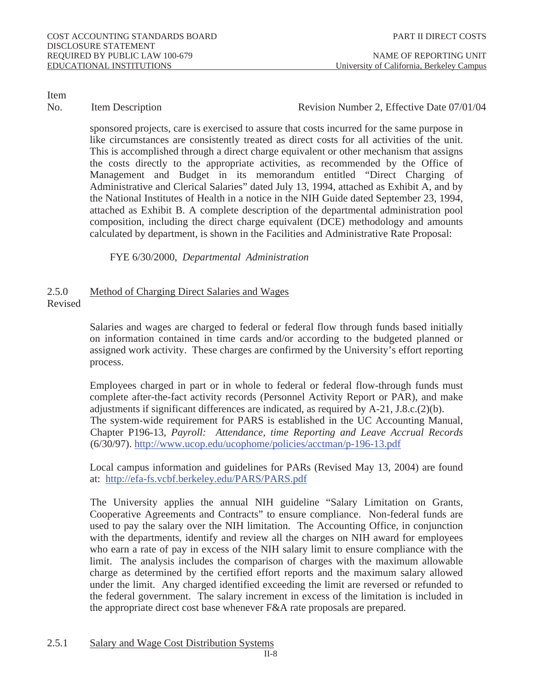No. Item Description **Revision Number 2, Effective Date 07/01/04** 

sponsored projects, care is exercised to assure that costs incurred for the same purpose in like circumstances are consistently treated as direct costs for all activities of the unit. This is accomplished through a direct charge equivalent or other mechanism that assigns the costs directly to the appropriate activities, as recommended by the Office of Management and Budget in its memorandum entitled "Direct Charging of Administrative and Clerical Salaries" dated July 13, 1994, attached as Exhibit A, and by the National Institutes of Health in a notice in the NIH Guide dated September 23, 1994, attached as Exhibit B. A complete description of the departmental administration pool composition, including the direct charge equivalent (DCE) methodology and amounts calculated by department, is shown in the Facilities and Administrative Rate Proposal:

FYE 6/30/2000, *Departmental Administration* 

#### 2.5.0 Method of Charging Direct Salaries and Wages Revised

 Salaries and wages are charged to federal or federal flow through funds based initially on information contained in time cards and/or according to the budgeted planned or assigned work activity. These charges are confirmed by the University's effort reporting process.

Employees charged in part or in whole to federal or federal flow-through funds must complete after-the-fact activity records (Personnel Activity Report or PAR), and make adjustments if significant differences are indicated, as required by A-21, J.8.c.(2)(b). The system-wide requirement for PARS is established in the UC Accounting Manual, Chapter P196-13, *Payroll: Attendance, time Reporting and Leave Accrual Records* (6/30/97). http://www.ucop.edu/ucophome/policies/acctman/p-196-13.pdf

Local campus information and guidelines for PARs (Revised May 13, 2004) are found at: http://efa-fs.vcbf.berkeley.edu/PARS/PARS.pdf

The University applies the annual NIH guideline "Salary Limitation on Grants, Cooperative Agreements and Contracts" to ensure compliance. Non-federal funds are used to pay the salary over the NIH limitation. The Accounting Office, in conjunction with the departments, identify and review all the charges on NIH award for employees who earn a rate of pay in excess of the NIH salary limit to ensure compliance with the limit. The analysis includes the comparison of charges with the maximum allowable charge as determined by the certified effort reports and the maximum salary allowed under the limit. Any charged identified exceeding the limit are reversed or refunded to the federal government. The salary increment in excess of the limitation is included in the appropriate direct cost base whenever F&A rate proposals are prepared.

2.5.1 Salary and Wage Cost Distribution Systems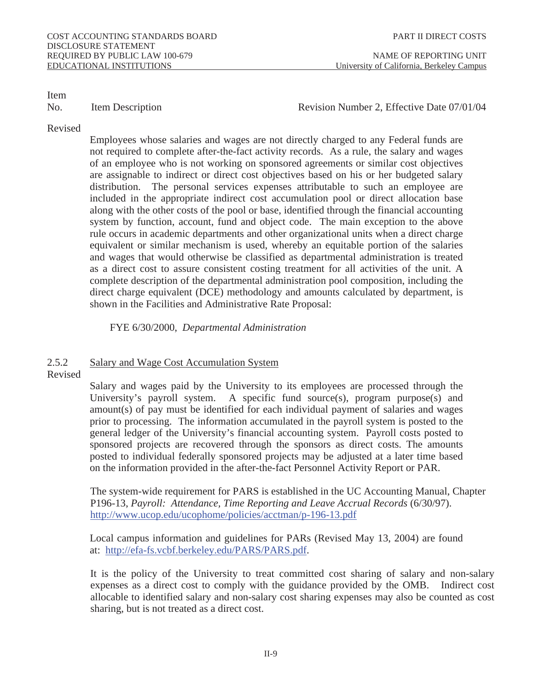# No. Item Description **Revision Number 2, Effective Date 07/01/04**

#### Revised

 Employees whose salaries and wages are not directly charged to any Federal funds are not required to complete after-the-fact activity records. As a rule, the salary and wages of an employee who is not working on sponsored agreements or similar cost objectives are assignable to indirect or direct cost objectives based on his or her budgeted salary distribution. The personal services expenses attributable to such an employee are included in the appropriate indirect cost accumulation pool or direct allocation base along with the other costs of the pool or base, identified through the financial accounting system by function, account, fund and object code. The main exception to the above rule occurs in academic departments and other organizational units when a direct charge equivalent or similar mechanism is used, whereby an equitable portion of the salaries and wages that would otherwise be classified as departmental administration is treated as a direct cost to assure consistent costing treatment for all activities of the unit. A complete description of the departmental administration pool composition, including the direct charge equivalent (DCE) methodology and amounts calculated by department, is shown in the Facilities and Administrative Rate Proposal:

FYE 6/30/2000, *Departmental Administration* 

# 2.5.2 Salary and Wage Cost Accumulation System

#### Revised

Salary and wages paid by the University to its employees are processed through the University's payroll system. A specific fund source(s), program purpose(s) and amount(s) of pay must be identified for each individual payment of salaries and wages prior to processing. The information accumulated in the payroll system is posted to the general ledger of the University's financial accounting system. Payroll costs posted to sponsored projects are recovered through the sponsors as direct costs. The amounts posted to individual federally sponsored projects may be adjusted at a later time based on the information provided in the after-the-fact Personnel Activity Report or PAR.

The system-wide requirement for PARS is established in the UC Accounting Manual, Chapter P196-13, *Payroll: Attendance, Time Reporting and Leave Accrual Records* (6/30/97). http://www.ucop.edu/ucophome/policies/acctman/p-196-13.pdf

Local campus information and guidelines for PARs (Revised May 13, 2004) are found at: http://efa-fs.vcbf.berkeley.edu/PARS/PARS.pdf.

It is the policy of the University to treat committed cost sharing of salary and non-salary expenses as a direct cost to comply with the guidance provided by the OMB. Indirect cost allocable to identified salary and non-salary cost sharing expenses may also be counted as cost sharing, but is not treated as a direct cost.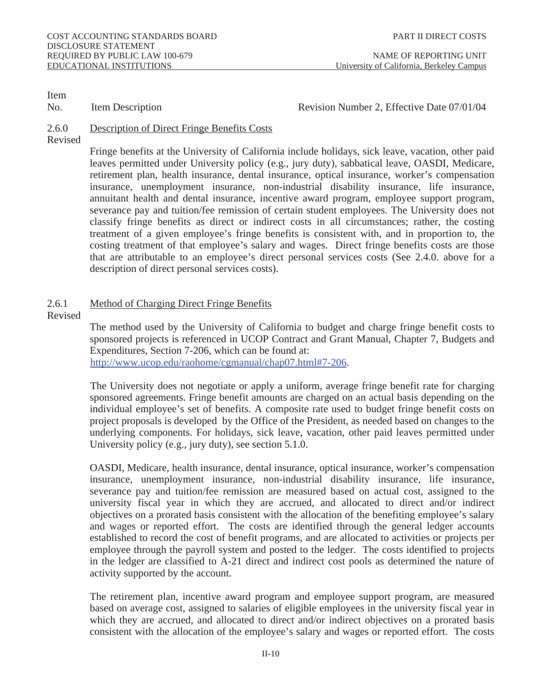No. Item Description **Revision Number 2, Effective Date 07/01/04** 

# 2.6.0 Description of Direct Fringe Benefits Costs

Revised

 Fringe benefits at the University of California include holidays, sick leave, vacation, other paid leaves permitted under University policy (e.g., jury duty), sabbatical leave, OASDI, Medicare, retirement plan, health insurance, dental insurance, optical insurance, worker's compensation insurance, unemployment insurance, non-industrial disability insurance, life insurance, annuitant health and dental insurance, incentive award program, employee support program, severance pay and tuition/fee remission of certain student employees. The University does not classify fringe benefits as direct or indirect costs in all circumstances; rather, the costing treatment of a given employee's fringe benefits is consistent with, and in proportion to, the costing treatment of that employee's salary and wages. Direct fringe benefits costs are those that are attributable to an employee's direct personal services costs (See 2.4.0. above for a description of direct personal services costs).

# 2.6.1 Method of Charging Direct Fringe Benefits

Revised

 The method used by the University of California to budget and charge fringe benefit costs to sponsored projects is referenced in UCOP Contract and Grant Manual, Chapter 7, Budgets and Expenditures, Section 7-206, which can be found at: http://www.ucop.edu/raohome/cgmanual/chap07.html#7-206.

The University does not negotiate or apply a uniform, average fringe benefit rate for charging sponsored agreements. Fringe benefit amounts are charged on an actual basis depending on the individual employee's set of benefits. A composite rate used to budget fringe benefit costs on project proposals is developed by the Office of the President, as needed based on changes to the underlying components. For holidays, sick leave, vacation, other paid leaves permitted under University policy (e.g., jury duty), see section 5.1.0.

 OASDI, Medicare, health insurance, dental insurance, optical insurance, worker's compensation insurance, unemployment insurance, non-industrial disability insurance, life insurance, severance pay and tuition/fee remission are measured based on actual cost, assigned to the university fiscal year in which they are accrued, and allocated to direct and/or indirect objectives on a prorated basis consistent with the allocation of the benefiting employee's salary and wages or reported effort. The costs are identified through the general ledger accounts established to record the cost of benefit programs, and are allocated to activities or projects per employee through the payroll system and posted to the ledger. The costs identified to projects in the ledger are classified to A-21 direct and indirect cost pools as determined the nature of activity supported by the account.

 The retirement plan, incentive award program and employee support program, are measured based on average cost, assigned to salaries of eligible employees in the university fiscal year in which they are accrued, and allocated to direct and/or indirect objectives on a prorated basis consistent with the allocation of the employee's salary and wages or reported effort. The costs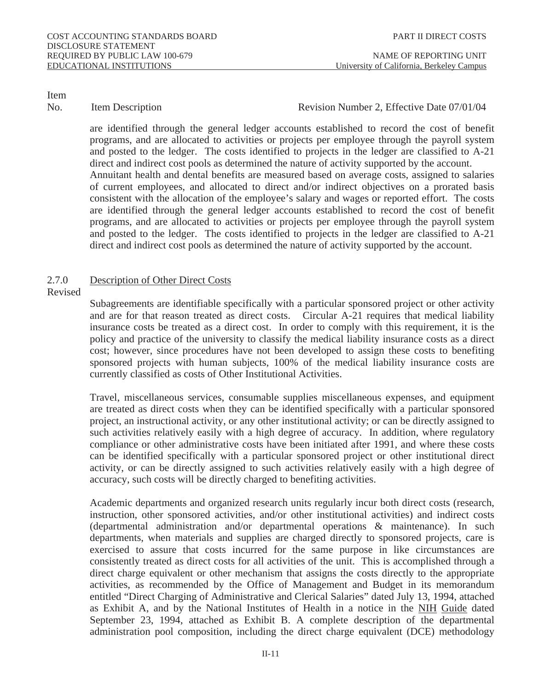No. Item Description **Revision Number 2, Effective Date 07/01/04** 

are identified through the general ledger accounts established to record the cost of benefit programs, and are allocated to activities or projects per employee through the payroll system and posted to the ledger. The costs identified to projects in the ledger are classified to A-21 direct and indirect cost pools as determined the nature of activity supported by the account. Annuitant health and dental benefits are measured based on average costs, assigned to salaries of current employees, and allocated to direct and/or indirect objectives on a prorated basis consistent with the allocation of the employee's salary and wages or reported effort. The costs are identified through the general ledger accounts established to record the cost of benefit programs, and are allocated to activities or projects per employee through the payroll system and posted to the ledger. The costs identified to projects in the ledger are classified to A-21 direct and indirect cost pools as determined the nature of activity supported by the account.

# 2.7.0 Description of Other Direct Costs

Revised

 Subagreements are identifiable specifically with a particular sponsored project or other activity and are for that reason treated as direct costs. Circular A-21 requires that medical liability insurance costs be treated as a direct cost. In order to comply with this requirement, it is the policy and practice of the university to classify the medical liability insurance costs as a direct cost; however, since procedures have not been developed to assign these costs to benefiting sponsored projects with human subjects, 100% of the medical liability insurance costs are currently classified as costs of Other Institutional Activities.

 Travel, miscellaneous services, consumable supplies miscellaneous expenses, and equipment are treated as direct costs when they can be identified specifically with a particular sponsored project, an instructional activity, or any other institutional activity; or can be directly assigned to such activities relatively easily with a high degree of accuracy. In addition, where regulatory compliance or other administrative costs have been initiated after 1991, and where these costs can be identified specifically with a particular sponsored project or other institutional direct activity, or can be directly assigned to such activities relatively easily with a high degree of accuracy, such costs will be directly charged to benefiting activities.

 Academic departments and organized research units regularly incur both direct costs (research, instruction, other sponsored activities, and/or other institutional activities) and indirect costs (departmental administration and/or departmental operations & maintenance). In such departments, when materials and supplies are charged directly to sponsored projects, care is exercised to assure that costs incurred for the same purpose in like circumstances are consistently treated as direct costs for all activities of the unit. This is accomplished through a direct charge equivalent or other mechanism that assigns the costs directly to the appropriate activities, as recommended by the Office of Management and Budget in its memorandum entitled "Direct Charging of Administrative and Clerical Salaries" dated July 13, 1994, attached as Exhibit A, and by the National Institutes of Health in a notice in the NIH Guide dated September 23, 1994, attached as Exhibit B. A complete description of the departmental administration pool composition, including the direct charge equivalent (DCE) methodology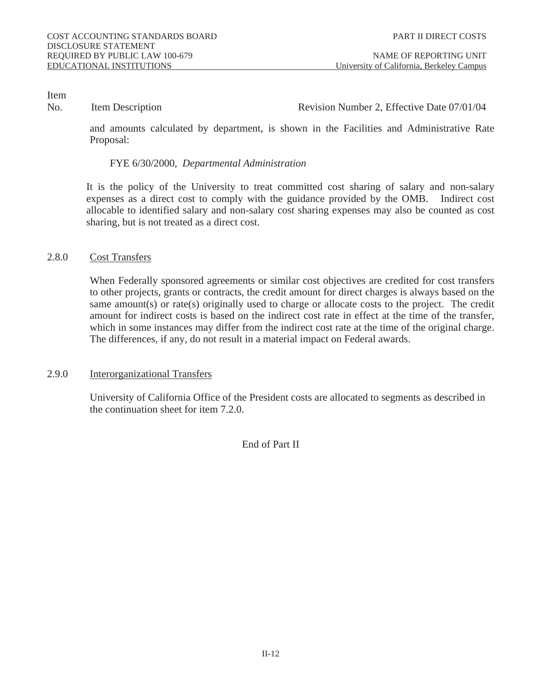# Item<br>No.

# Item Description **Number 2, Effective Date 07/01/04**

and amounts calculated by department, is shown in the Facilities and Administrative Rate Proposal:

### FYE 6/30/2000, *Departmental Administration*

It is the policy of the University to treat committed cost sharing of salary and non-salary expenses as a direct cost to comply with the guidance provided by the OMB. Indirect cost allocable to identified salary and non-salary cost sharing expenses may also be counted as cost sharing, but is not treated as a direct cost.

### 2.8.0 Cost Transfers

When Federally sponsored agreements or similar cost objectives are credited for cost transfers to other projects, grants or contracts, the credit amount for direct charges is always based on the same amount(s) or rate(s) originally used to charge or allocate costs to the project. The credit amount for indirect costs is based on the indirect cost rate in effect at the time of the transfer, which in some instances may differ from the indirect cost rate at the time of the original charge. The differences, if any, do not result in a material impact on Federal awards.

# 2.9.0 Interorganizational Transfers

 University of California Office of the President costs are allocated to segments as described in the continuation sheet for item 7.2.0.

End of Part II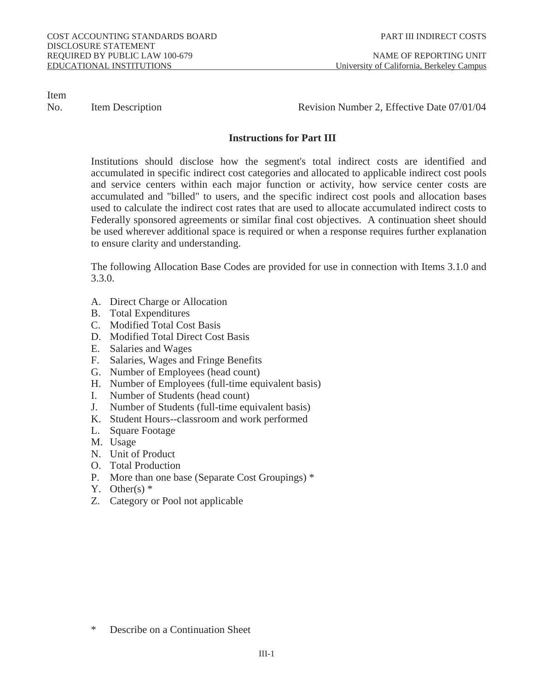No. Item Description **Revision Number 2, Effective Date 07/01/04** 

# **Instructions for Part III**

 Institutions should disclose how the segment's total indirect costs are identified and accumulated in specific indirect cost categories and allocated to applicable indirect cost pools and service centers within each major function or activity, how service center costs are accumulated and "billed" to users, and the specific indirect cost pools and allocation bases used to calculate the indirect cost rates that are used to allocate accumulated indirect costs to Federally sponsored agreements or similar final cost objectives. A continuation sheet should be used wherever additional space is required or when a response requires further explanation to ensure clarity and understanding.

 The following Allocation Base Codes are provided for use in connection with Items 3.1.0 and 3.3.0.

- A. Direct Charge or Allocation
- B. Total Expenditures
- C. Modified Total Cost Basis
- D. Modified Total Direct Cost Basis
- E. Salaries and Wages
- F. Salaries, Wages and Fringe Benefits
- G. Number of Employees (head count)
- H. Number of Employees (full-time equivalent basis)
- I. Number of Students (head count)
- J. Number of Students (full-time equivalent basis)
- K. Student Hours--classroom and work performed
- L. Square Footage
- M. Usage
- N. Unit of Product
- O. Total Production
- P. More than one base (Separate Cost Groupings) \*
- Y. Other(s)  $*$
- Z. Category or Pool not applicable

Describe on a Continuation Sheet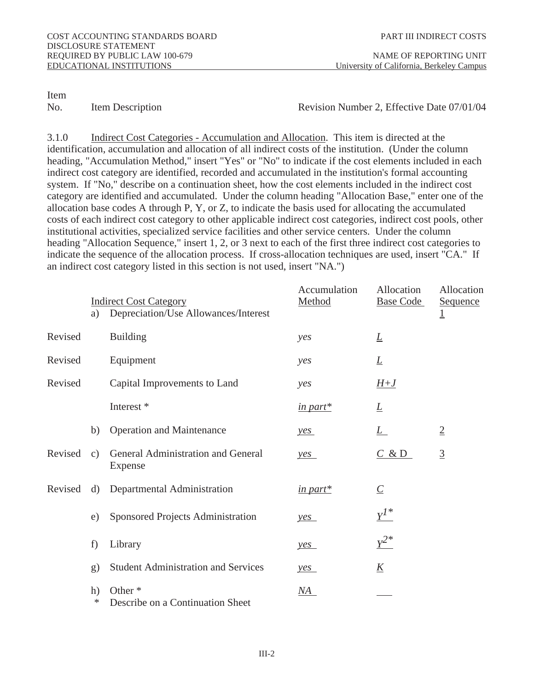No. Item Description **Revision Number 2, Effective Date 07/01/04** 

3.1.0 Indirect Cost Categories - Accumulation and Allocation. This item is directed at the identification, accumulation and allocation of all indirect costs of the institution. (Under the column heading, "Accumulation Method," insert "Yes" or "No" to indicate if the cost elements included in each indirect cost category are identified, recorded and accumulated in the institution's formal accounting system. If "No," describe on a continuation sheet, how the cost elements included in the indirect cost category are identified and accumulated. Under the column heading "Allocation Base," enter one of the allocation base codes A through P, Y, or Z, to indicate the basis used for allocating the accumulated costs of each indirect cost category to other applicable indirect cost categories, indirect cost pools, other institutional activities, specialized service facilities and other service centers. Under the column heading "Allocation Sequence," insert 1, 2, or 3 next to each of the first three indirect cost categories to indicate the sequence of the allocation process. If cross-allocation techniques are used, insert "CA." If an indirect cost category listed in this section is not used, insert "NA.")

|                | a)           | <b>Indirect Cost Category</b><br><b>Depreciation/Use Allowances/Interest</b> | <b>Accumulation</b><br><b>Method</b> | <b>Allocation</b><br><b>Base Code</b> | <b>Allocation</b><br><b>Sequence</b><br>$\overline{1}$ |
|----------------|--------------|------------------------------------------------------------------------------|--------------------------------------|---------------------------------------|--------------------------------------------------------|
| <b>Revised</b> |              | <b>Building</b>                                                              | yes                                  | $\overline{\Gamma}$                   |                                                        |
| <b>Revised</b> |              | Equipment                                                                    | yes                                  | $\underline{\mathbf{L}}$              |                                                        |
| <b>Revised</b> |              | <b>Capital Improvements to Land</b>                                          | yes                                  | $H+J$                                 |                                                        |
|                |              | Interest *                                                                   | in part*                             | $\overline{\Gamma}$                   |                                                        |
|                | b)           | <b>Operation and Maintenance</b>                                             | yes                                  | $\underline{\mathsf{L}}$              | $\overline{2}$                                         |
| <b>Revised</b> | $\mathbf{c}$ | <b>General Administration and General</b><br><b>Expense</b>                  | yes                                  | C & D                                 | $\overline{3}$                                         |
| <b>Revised</b> | d)           | <b>Departmental Administration</b>                                           | in part*                             | $\underline{C}$                       |                                                        |
|                | $\epsilon$   | <b>Sponsored Projects Administration</b>                                     | yes                                  | $Y^{1*}$                              |                                                        |
|                | f)           | Library                                                                      | yes                                  | $Y^2$                                 |                                                        |
|                | $\bf{g}$     | <b>Student Administration and Services</b>                                   | yes                                  | $\underline{\mathbf{K}}$              |                                                        |
|                | h)<br>$\ast$ | Other <sup>*</sup><br><b>Describe on a Continuation Sheet</b>                | $\overline{\text{NA}}$               |                                       |                                                        |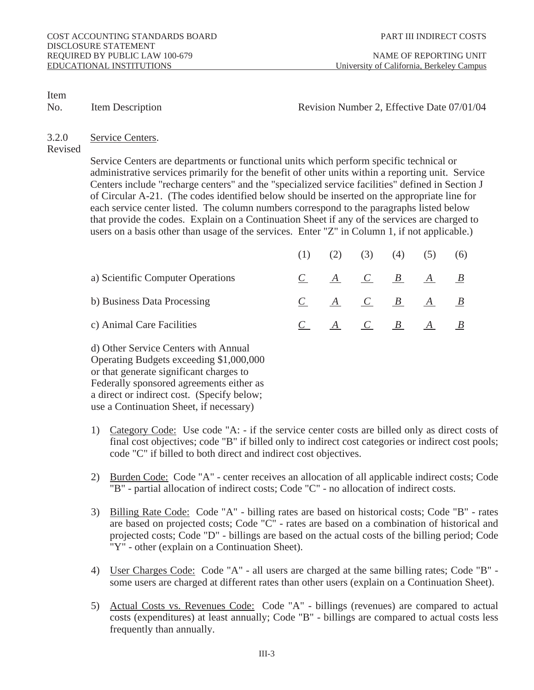No. Item Description **Revision Number 2, Effective Date 07/01/04** 

#### 3.2.0 Service Centers.

Revised

Service Centers are departments or functional units which perform specific technical or administrative services primarily for the benefit of other units within a reporting unit. Service Centers include "recharge centers" and the "specialized service facilities" defined in Section J of Circular A-21. (The codes identified below should be inserted on the appropriate line for each service center listed. The column numbers correspond to the paragraphs listed below that provide the codes. Explain on a Continuation Sheet if any of the services are charged to users on a basis other than usage of the services. Enter "Z" in Column 1, if not applicable.)

|                                   |              | (2) | (3)             | (4) | (5)                         |  |
|-----------------------------------|--------------|-----|-----------------|-----|-----------------------------|--|
| a) Scientific Computer Operations | $\mathbf{C}$ |     |                 |     | $A \quad C \quad B \quad A$ |  |
| b) Business Data Processing       |              |     | $A$ $C$ $B$ $A$ |     |                             |  |
| c) Animal Care Facilities         |              |     | A C B           |     | A                           |  |

 d) Other Service Centers with Annual Operating Budgets exceeding \$1,000,000 or that generate significant charges to Federally sponsored agreements either as a direct or indirect cost. (Specify below; use a Continuation Sheet, if necessary)

- 1) Category Code: Use code "A: if the service center costs are billed only as direct costs of final cost objectives; code "B" if billed only to indirect cost categories or indirect cost pools; code "C" if billed to both direct and indirect cost objectives.
- 2) Burden Code: Code "A" center receives an allocation of all applicable indirect costs; Code "B" - partial allocation of indirect costs; Code "C" - no allocation of indirect costs.
- 3) Billing Rate Code: Code "A" billing rates are based on historical costs; Code "B" rates are based on projected costs; Code "C" - rates are based on a combination of historical and projected costs; Code "D" - billings are based on the actual costs of the billing period; Code  $\overline{N}$ "Y" - other (explain on a Continuation Sheet).
- 4) User Charges Code: Code "A" all users are charged at the same billing rates; Code "B" some users are charged at different rates than other users (explain on a Continuation Sheet).
- 5) Actual Costs vs. Revenues Code: Code "A" billings (revenues) are compared to actual costs (expenditures) at least annually; Code "B" - billings are compared to actual costs less frequently than annually.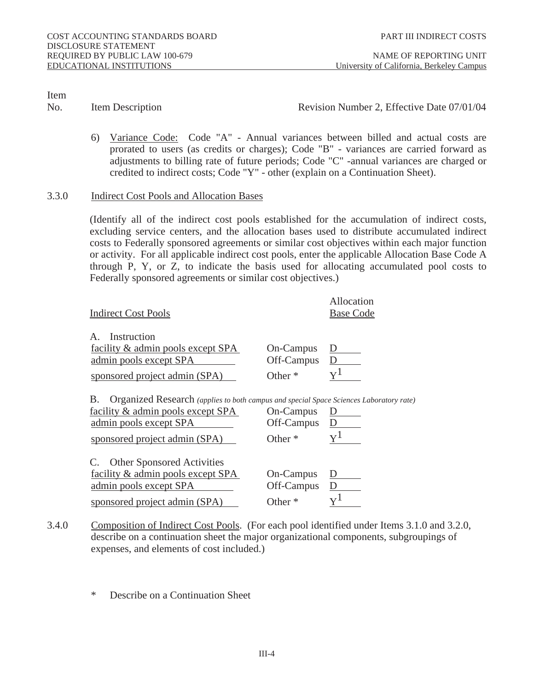No. Item Description **Revision Number 2, Effective Date 07/01/04** 

6) Variance Code: Code "A" - Annual variances between billed and actual costs are prorated to users (as credits or charges); Code "B" - variances are carried forward as adjustments to billing rate of future periods; Code "C" -annual variances are charged or credited to indirect costs; Code "Y" - other (explain on a Continuation Sheet).

#### 3.3.0 Indirect Cost Pools and Allocation Bases

 (Identify all of the indirect cost pools established for the accumulation of indirect costs, excluding service centers, and the allocation bases used to distribute accumulated indirect costs to Federally sponsored agreements or similar cost objectives within each major function or activity. For all applicable indirect cost pools, enter the applicable Allocation Base Code A through P, Y, or Z, to indicate the basis used for allocating accumulated pool costs to Federally sponsored agreements or similar cost objectives.)

| <b>Indirect Cost Pools</b>                                                                                                                                                                   |                                             | <b>Allocation</b><br><b>Base Code</b> |
|----------------------------------------------------------------------------------------------------------------------------------------------------------------------------------------------|---------------------------------------------|---------------------------------------|
|                                                                                                                                                                                              |                                             |                                       |
| <b>Instruction</b><br>A.                                                                                                                                                                     |                                             |                                       |
| facility & admin pools except SPA                                                                                                                                                            | <b>On-Campus</b>                            | $\overline{\mathbf{D}}$               |
| admin pools except SPA                                                                                                                                                                       | <b>Off-Campus</b>                           | D                                     |
| sponsored project admin (SPA)                                                                                                                                                                | Other <sup>*</sup>                          | ${\rm v}^1$                           |
|                                                                                                                                                                                              |                                             |                                       |
| Organized Research (applies to both campus and special Space Sciences Laboratory rate)<br>В.<br>facility & admin pools except SPA<br>admin pools except SPA<br>sponsored project admin (SPA) | <b>On-Campus</b><br>Off-Campus<br>Other $*$ | D<br>$\mathbf{D}$<br>${\rm Y}^1$      |
| C. Other Sponsored Activities                                                                                                                                                                |                                             |                                       |
| facility & admin pools except SPA                                                                                                                                                            | <b>On-Campus</b>                            | $\mathbf{D}$                          |
| admin pools except SPA                                                                                                                                                                       | Off-Campus                                  | D                                     |

- 3.4.0 Composition of Indirect Cost Pools. (For each pool identified under Items 3.1.0 and 3.2.0, describe on a continuation sheet the major organizational components, subgroupings of expenses, and elements of cost included.)
	- \* Describe on a Continuation Sheet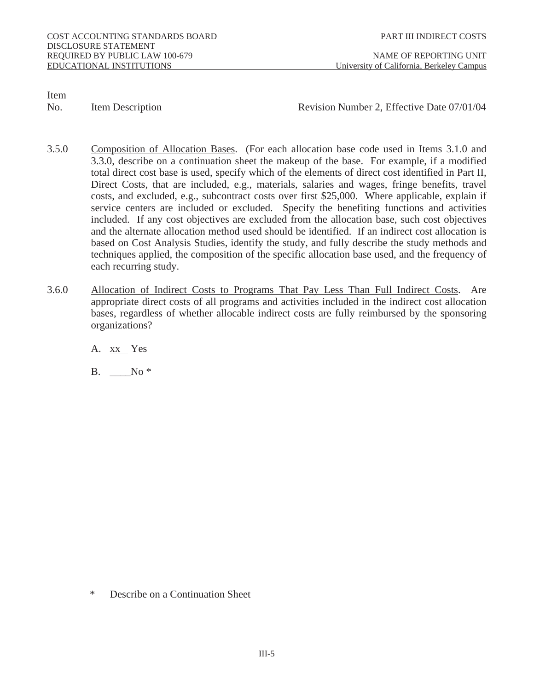No. Item Description **Revision Number 2, Effective Date 07/01/04** 

- 3.5.0 Composition of Allocation Bases. (For each allocation base code used in Items 3.1.0 and 3.3.0, describe on a continuation sheet the makeup of the base. For example, if a modified total direct cost base is used, specify which of the elements of direct cost identified in Part II, Direct Costs, that are included, e.g., materials, salaries and wages, fringe benefits, travel costs, and excluded, e.g., subcontract costs over first \$25,000. Where applicable, explain if service centers are included or excluded. Specify the benefiting functions and activities included. If any cost objectives are excluded from the allocation base, such cost objectives and the alternate allocation method used should be identified. If an indirect cost allocation is based on Cost Analysis Studies, identify the study, and fully describe the study methods and techniques applied, the composition of the specific allocation base used, and the frequency of each recurring study.
- 3.6.0 Allocation of Indirect Costs to Programs That Pay Less Than Full Indirect Costs. Are appropriate direct costs of all programs and activities included in the indirect cost allocation bases, regardless of whether allocable indirect costs are fully reimbursed by the sponsoring organizations?
	- A. xx Yes
	- B.  $\qquad No^*$

\* Describe on a Continuation Sheet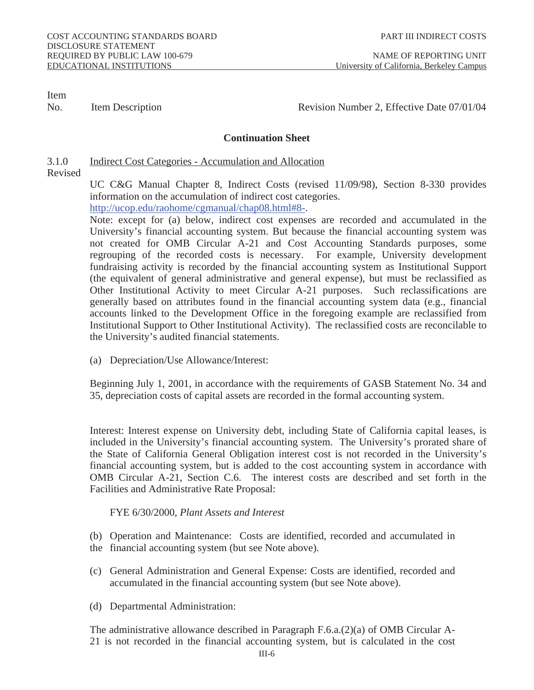No. Item Description **Revision Number 2, Effective Date 07/01/04** 

# **Continuation Sheet**

3.1.0 Indirect Cost Categories - Accumulation and Allocation

Revised

 UC C&G Manual Chapter 8, Indirect Costs (revised 11/09/98), Section 8-330 provides information on the accumulation of indirect cost categories. http://ucop.edu/raohome/cgmanual/chap08.html#8-.

Note: except for (a) below, indirect cost expenses are recorded and accumulated in the University's financial accounting system. But because the financial accounting system was not created for OMB Circular A-21 and Cost Accounting Standards purposes, some regrouping of the recorded costs is necessary. For example, University development fundraising activity is recorded by the financial accounting system as Institutional Support (the equivalent of general administrative and general expense), but must be reclassified as Other Institutional Activity to meet Circular A-21 purposes. Such reclassifications are generally based on attributes found in the financial accounting system data (e.g., financial accounts linked to the Development Office in the foregoing example are reclassified from Institutional Support to Other Institutional Activity). The reclassified costs are reconcilable to the University's audited financial statements.

(a) Depreciation/Use Allowance/Interest:

 Beginning July 1, 2001, in accordance with the requirements of GASB Statement No. 34 and 35, depreciation costs of capital assets are recorded in the formal accounting system.

 Interest: Interest expense on University debt, including State of California capital leases, is included in the University's financial accounting system. The University's prorated share of the State of California General Obligation interest cost is not recorded in the University's financial accounting system, but is added to the cost accounting system in accordance with OMB Circular A-21, Section C.6. The interest costs are described and set forth in the Facilities and Administrative Rate Proposal:

FYE 6/30/2000, *Plant Assets and Interest*

 (b) Operation and Maintenance: Costs are identified, recorded and accumulated in the financial accounting system (but see Note above).

- (c) General Administration and General Expense: Costs are identified, recorded and accumulated in the financial accounting system (but see Note above).
- (d) Departmental Administration:

 The administrative allowance described in Paragraph F.6.a.(2)(a) of OMB Circular A-21 is not recorded in the financial accounting system, but is calculated in the cost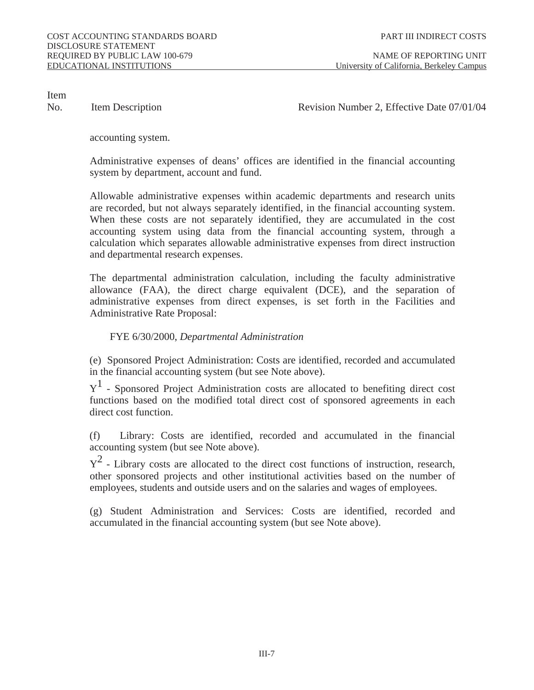No. Item Description **Revision Number 2, Effective Date 07/01/04** 

accounting system.

 Administrative expenses of deans' offices are identified in the financial accounting system by department, account and fund.

 Allowable administrative expenses within academic departments and research units are recorded, but not always separately identified, in the financial accounting system. When these costs are not separately identified, they are accumulated in the cost accounting system using data from the financial accounting system, through a calculation which separates allowable administrative expenses from direct instruction and departmental research expenses.

The departmental administration calculation, including the faculty administrative allowance (FAA), the direct charge equivalent (DCE), and the separation of administrative expenses from direct expenses, is set forth in the Facilities and Administrative Rate Proposal:

FYE 6/30/2000, *Departmental Administration* 

(e) Sponsored Project Administration: Costs are identified, recorded and accumulated in the financial accounting system (but see Note above).

 $Y<sup>1</sup>$  - Sponsored Project Administration costs are allocated to benefiting direct cost functions based on the modified total direct cost of sponsored agreements in each direct cost function.

(f) Library: Costs are identified, recorded and accumulated in the financial accounting system (but see Note above).

 $Y^2$  - Library costs are allocated to the direct cost functions of instruction, research, other sponsored projects and other institutional activities based on the number of employees, students and outside users and on the salaries and wages of employees.

 (g) Student Administration and Services: Costs are identified, recorded and accumulated in the financial accounting system (but see Note above).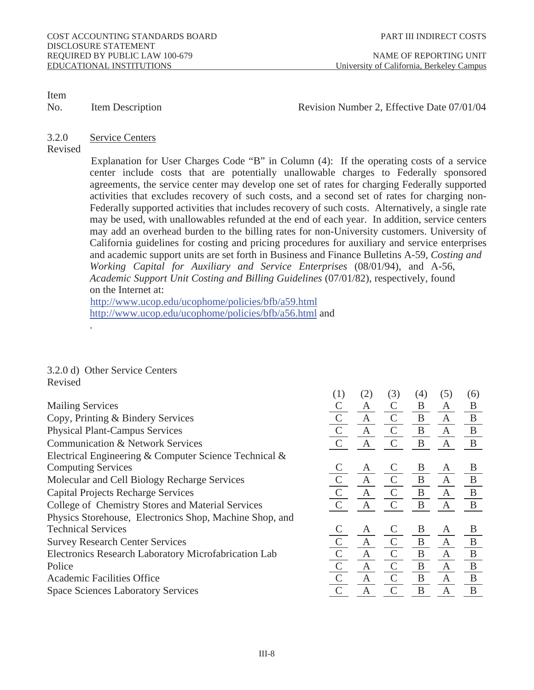#### No. Item Description Revision Number 2, Effective Date 07/01/04

#### 3.2.0 Service Centers

#### Revised

 Explanation for User Charges Code "B" in Column (4): If the operating costs of a service center include costs that are potentially unallowable charges to Federally sponsored agreements, the service center may develop one set of rates for charging Federally supported activities that excludes recovery of such costs, and a second set of rates for charging non-Federally supported activities that includes recovery of such costs. Alternatively, a single rate may be used, with unallowables refunded at the end of each year. In addition, service centers may add an overhead burden to the billing rates for non-University customers. University of California guidelines for costing and pricing procedures for auxiliary and service enterprises and academic support units are set forth in Business and Finance Bulletins A-59*, Costing and Working Capital for Auxiliary and Service Enterprises* (08/01/94), and A-56, *Academic Support Unit Costing and Billing Guidelines* (07/01/82), respectively, found on the Internet at:

http://www.ucop.edu/ucophome/policies/bfb/a59.html http://www.ucop.edu/ucophome/policies/bfb/a56.html and

#### 3.2.0 d) Other Service Centers Revised

.

| (1)           | (2)          | (3)           | (4)          | (5)          | (6)          |
|---------------|--------------|---------------|--------------|--------------|--------------|
|               | A            | $\mathcal{C}$ | B            | A            | B            |
| $\mathcal{C}$ | $\mathbf{A}$ | $\mathcal{C}$ | B            | $\mathbf{A}$ | $\mathbf{B}$ |
| $\mathcal{C}$ | A            | $\mathcal{C}$ | $\mathbf{B}$ | $\mathbf{A}$ | $\mathbf{B}$ |
| $\mathcal{C}$ | $\mathbf{A}$ |               | B            | $\mathbf{A}$ | B            |
|               |              |               |              |              |              |
|               | A            |               | B            | A            | B            |
| $\mathbf C$   | $\mathbf{A}$ | $\mathsf{C}$  | $\mathbf{B}$ | $\mathbf{A}$ | $\mathbf B$  |
| $\mathcal{C}$ | $\mathbf{A}$ | $\mathcal{C}$ | $\mathbf{B}$ | $\mathbf{A}$ | $\mathbf{B}$ |
|               | $\mathbf{A}$ |               | B            | $\mathbf{A}$ | $\mathbf{B}$ |
|               |              |               |              |              |              |
|               | A            |               | B            | A            | B            |
|               | $\mathbf{A}$ | $\mathcal{C}$ | $\mathbf{B}$ | $\mathbf{A}$ | $\bf{B}$     |
| $\mathcal{C}$ | $\mathbf{A}$ | $\mathsf{C}$  | $\mathbf{B}$ | $\mathbf{A}$ | $\bf{B}$     |
| $\mathcal{C}$ | $\mathbf{A}$ | $\mathcal{C}$ | $\mathbf{B}$ | $\mathbf{A}$ | $\, {\bf B}$ |
| $\mathcal{C}$ | $\mathbf{A}$ | $\mathcal{C}$ | $\mathbf{B}$ | $\mathbf{A}$ | $\mathbf{B}$ |
| $\mathcal{C}$ | $\mathbf{A}$ | $\mathsf{C}$  | $\bf{B}$     | $\mathbf{A}$ | B            |
|               |              |               |              |              |              |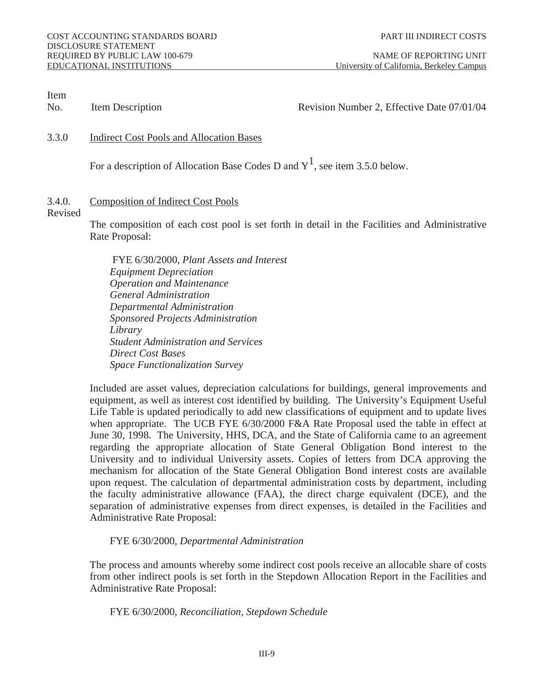EDUCATIONAL INSTITUTIONS University of California, Berkeley Campus

Item

### No. Item Description **Revision Number 2, Effective Date 07/01/04**

#### 3.3.0 Indirect Cost Pools and Allocation Bases

For a description of Allocation Base Codes D and  $Y^1$ , see item 3.5.0 below.

# 3.4.0. Composition of Indirect Cost Pools

#### Revised

The composition of each cost pool is set forth in detail in the Facilities and Administrative Rate Proposal:

 FYE 6/30/2000, *Plant Assets and Interest Equipment Depreciation Operation and Maintenance General Administration Departmental Administration Sponsored Projects Administration Library Student Administration and Services Direct Cost Bases Space Functionalization Survey*

 Included are asset values, depreciation calculations for buildings, general improvements and equipment, as well as interest cost identified by building. The University's Equipment Useful Life Table is updated periodically to add new classifications of equipment and to update lives when appropriate. The UCB FYE 6/30/2000 F&A Rate Proposal used the table in effect at June 30, 1998. The University, HHS, DCA, and the State of California came to an agreement regarding the appropriate allocation of State General Obligation Bond interest to the University and to individual University assets. Copies of letters from DCA approving the mechanism for allocation of the State General Obligation Bond interest costs are available upon request. The calculation of departmental administration costs by department, including the faculty administrative allowance (FAA), the direct charge equivalent (DCE), and the separation of administrative expenses from direct expenses, is detailed in the Facilities and Administrative Rate Proposal:

FYE 6/30/2000, *Departmental Administration* 

 The process and amounts whereby some indirect cost pools receive an allocable share of costs from other indirect pools is set forth in the Stepdown Allocation Report in the Facilities and Administrative Rate Proposal:

FYE 6/30/2000, *Reconciliation, Stepdown Schedule*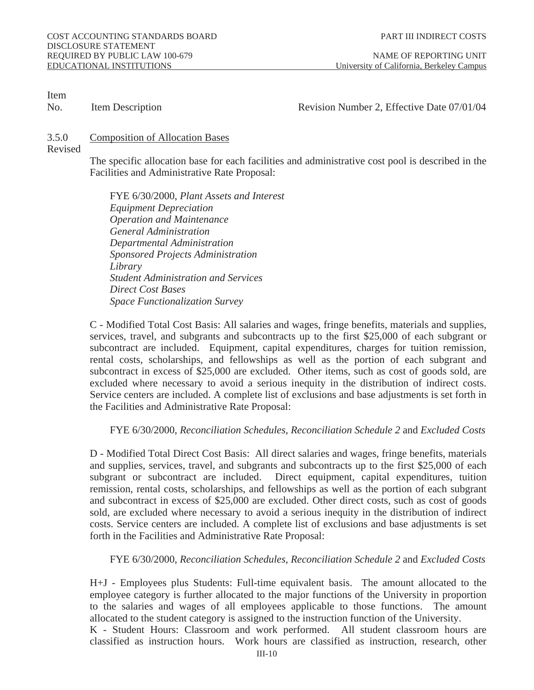# No. Item Description **Revision Number 2, Effective Date 07/01/04**

#### 3.5.0 Composition of Allocation Bases

Revised

 The specific allocation base for each facilities and administrative cost pool is described in the Facilities and Administrative Rate Proposal:

 FYE 6/30/2000, *Plant Assets and Interest Equipment Depreciation Operation and Maintenance General Administration Departmental Administration Sponsored Projects Administration Library Student Administration and Services Direct Cost Bases Space Functionalization Survey*

 C - Modified Total Cost Basis: All salaries and wages, fringe benefits, materials and supplies, services, travel, and subgrants and subcontracts up to the first \$25,000 of each subgrant or subcontract are included. Equipment, capital expenditures, charges for tuition remission, rental costs, scholarships, and fellowships as well as the portion of each subgrant and subcontract in excess of \$25,000 are excluded. Other items, such as cost of goods sold, are excluded where necessary to avoid a serious inequity in the distribution of indirect costs. Service centers are included. A complete list of exclusions and base adjustments is set forth in the Facilities and Administrative Rate Proposal:

# FYE 6/30/2000, *Reconciliation Schedules, Reconciliation Schedule 2* and *Excluded Costs*

 D - Modified Total Direct Cost Basis: All direct salaries and wages, fringe benefits, materials and supplies, services, travel, and subgrants and subcontracts up to the first \$25,000 of each subgrant or subcontract are included. Direct equipment, capital expenditures, tuition remission, rental costs, scholarships, and fellowships as well as the portion of each subgrant and subcontract in excess of \$25,000 are excluded. Other direct costs, such as cost of goods sold, are excluded where necessary to avoid a serious inequity in the distribution of indirect costs. Service centers are included. A complete list of exclusions and base adjustments is set forth in the Facilities and Administrative Rate Proposal:

FYE 6/30/2000, *Reconciliation Schedules, Reconciliation Schedule 2* and *Excluded Costs*

 H+J - Employees plus Students: Full-time equivalent basis. The amount allocated to the employee category is further allocated to the major functions of the University in proportion to the salaries and wages of all employees applicable to those functions. The amount allocated to the student category is assigned to the instruction function of the University.

 K - Student Hours: Classroom and work performed. All student classroom hours are classified as instruction hours. Work hours are classified as instruction, research, other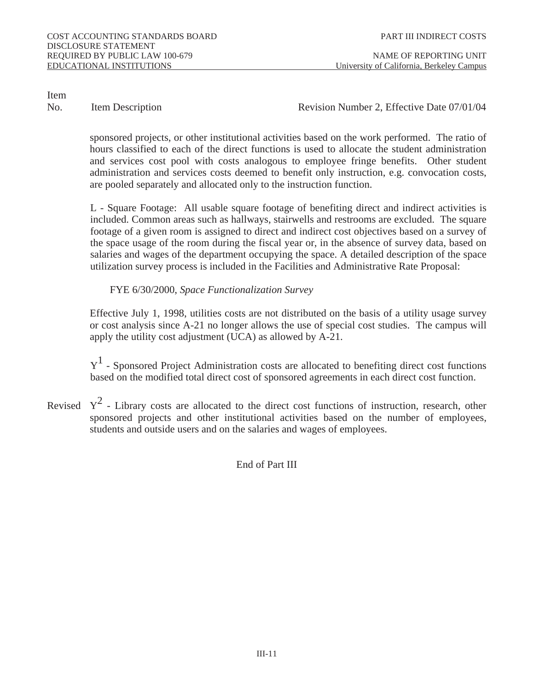No. Item Description **Revision Number 2, Effective Date 07/01/04** 

sponsored projects, or other institutional activities based on the work performed. The ratio of hours classified to each of the direct functions is used to allocate the student administration and services cost pool with costs analogous to employee fringe benefits. Other student administration and services costs deemed to benefit only instruction, e.g. convocation costs, are pooled separately and allocated only to the instruction function.

L - Square Footage: All usable square footage of benefiting direct and indirect activities is included. Common areas such as hallways, stairwells and restrooms are excluded. The square footage of a given room is assigned to direct and indirect cost objectives based on a survey of the space usage of the room during the fiscal year or, in the absence of survey data, based on salaries and wages of the department occupying the space. A detailed description of the space utilization survey process is included in the Facilities and Administrative Rate Proposal:

FYE 6/30/2000, *Space Functionalization Survey*

 Effective July 1, 1998, utilities costs are not distributed on the basis of a utility usage survey or cost analysis since A-21 no longer allows the use of special cost studies. The campus will apply the utility cost adjustment (UCA) as allowed by A-21.

 $Y<sup>1</sup>$  - Sponsored Project Administration costs are allocated to benefiting direct cost functions based on the modified total direct cost of sponsored agreements in each direct cost function.

Revised  $Y^2$  - Library costs are allocated to the direct cost functions of instruction, research, other sponsored projects and other institutional activities based on the number of employees, students and outside users and on the salaries and wages of employees.

End of Part III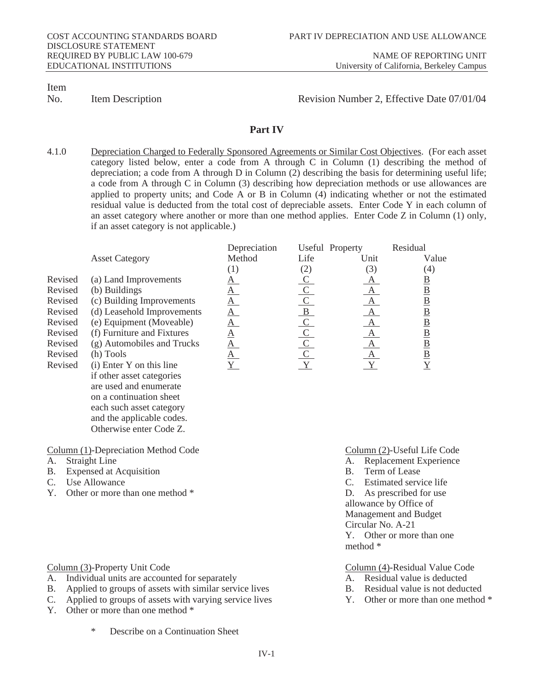No. Item Description **Revision Number 2, Effective Date 07/01/04** 

#### **Part IV**

4.1.0 Depreciation Charged to Federally Sponsored Agreements or Similar Cost Objectives. (For each asset category listed below, enter a code from A through C in Column (1) describing the method of depreciation; a code from A through D in Column (2) describing the basis for determining useful life; a code from A through C in Column (3) describing how depreciation methods or use allowances are applied to property units; and Code A or B in Column (4) indicating whether or not the estimated residual value is deducted from the total cost of depreciable assets. Enter Code Y in each column of an asset category where another or more than one method applies. Enter Code Z in Column (1) only, if an asset category is not applicable.)

|                            |                           |                          |                                                         | <b>Residual</b>                                                                                                             |
|----------------------------|---------------------------|--------------------------|---------------------------------------------------------|-----------------------------------------------------------------------------------------------------------------------------|
| <b>Asset Category</b>      | <b>Method</b>             | Life                     | Unit                                                    | Value                                                                                                                       |
|                            |                           | $\left( 2\right)$        | (3)                                                     | $\left( 4\right)$                                                                                                           |
| (a) Land Improvements      |                           |                          |                                                         | $\overline{\mathbf{B}}$                                                                                                     |
| (b) Buildings              |                           |                          |                                                         | $\frac{\text{B}}{\text{B}}$                                                                                                 |
|                            | <u>А</u>                  |                          |                                                         |                                                                                                                             |
| (d) Leasehold Improvements |                           |                          | $\mathbf{A}$                                            |                                                                                                                             |
| (e) Equipment (Moveable)   | <u>A</u>                  |                          | $\mathbf{A}$                                            | $\frac{\text{B}}{\text{B}}\frac{\text{B}}{\text{B}}}{\text{B}}$                                                             |
| (f) Furniture and Fixtures |                           |                          |                                                         |                                                                                                                             |
| (g) Automobiles and Trucks |                           |                          |                                                         |                                                                                                                             |
| (h) Tools                  |                           |                          |                                                         |                                                                                                                             |
| (i) Enter Y on this line   |                           |                          |                                                         |                                                                                                                             |
| if other asset categories  |                           |                          |                                                         |                                                                                                                             |
| are used and enumerate     |                           |                          |                                                         |                                                                                                                             |
|                            | (c) Building Improvements | Depreciation<br><u>A</u> | $\frac{C}{C}$ $\frac{C}{C}$ $\frac{C}{C}$ $\frac{C}{Y}$ | <b>Useful Property</b><br>$\overline{A}$<br>$\mathbf{A}$<br>$\mathbf{A}$<br>$\mathbf{A}$<br>$\overline{A}$<br>$\frac{A}{Y}$ |

 on a continuation sheet each such asset category and the applicable codes. Otherwise enter Code Z.

- 
- B. Expensed at Acquisition B.
- C. Use Allowance C. Estimated service life
- Y. Other or more than one method \* D. As prescribed for use
- Column (1)-Depreciation Method Code<br>
A. Straight Life Code<br>
A. Replacement Experience
	- A. Replacement Experience<br>B. Term of Lease
	-
	-
	- allowance by Office of Management and Budget Circular No. A-21 Y. Other or more than one
- method \*

Column (3)-Property Unit Code Column (4)-Residual Value Code

- 
- A. Individual units are accounted for separately **A. Residual value is deducted**<br>B. Applied to groups of assets with similar service lives **B.** Residual value is not deducted B. Applied to groups of assets with similar service lives B. Residual value is not deducted<br>C. Applied to groups of assets with varying service lives Y. Other or more than one method \*
	-
- C. Applied to groups of assets with varying service lives
- Y. Other or more than one method \*
	- Describe on a Continuation Sheet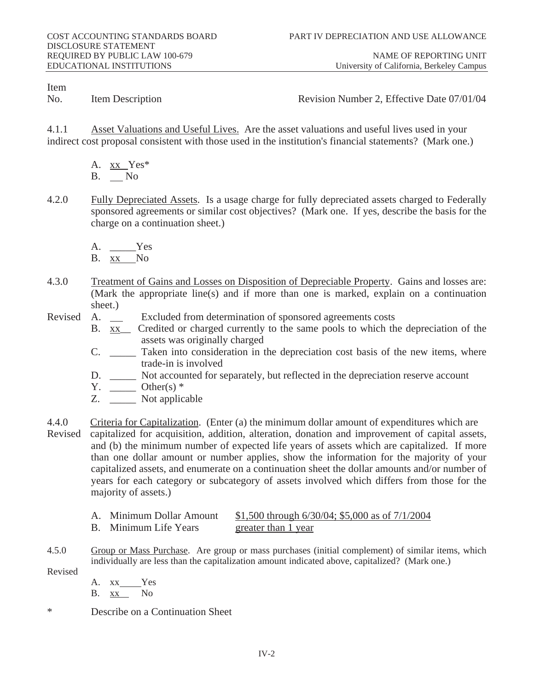No. Item Description **Revision Number 2, Effective Date 07/01/04** 

4.1.1 Asset Valuations and Useful Lives. Are the asset valuations and useful lives used in your indirect cost proposal consistent with those used in the institution's financial statements? (Mark one.)

- A. xx Yes\* B. No
- 4.2.0 Fully Depreciated Assets. Is a usage charge for fully depreciated assets charged to Federally sponsored agreements or similar cost objectives? (Mark one. If yes, describe the basis for the charge on a continuation sheet.)
	- A. Yes
	- B. xx No
- 4.3.0 Treatment of Gains and Losses on Disposition of Depreciable Property. Gains and losses are: (Mark the appropriate line(s) and if more than one is marked, explain on a continuation sheet.)<br>A.  $\qquad$
- Revised A. Excluded from determination of sponsored agreements costs
	- B. xx<sub>1</sub> Credited or charged currently to the same pools to which the depreciation of the assets was originally charged
	- C. \_\_\_\_\_ Taken into consideration in the depreciation cost basis of the new items, where trade-in is involved
	- D. \_\_\_\_\_ Not accounted for separately, but reflected in the depreciation reserve account
	- $Y. \quad \underline{\hspace{1cm}}$  Other(s)  $*$
	- Z. Not applicable
- 4.4.0 Criteria for Capitalization. (Enter (a) the minimum dollar amount of expenditures which are Revised capitalized for acquisition, addition, alteration, donation and improvement of capital assets, and (b) the minimum number of expected life years of assets which are capitalized. If more than one dollar amount or number applies, show the information for the majority of your capitalized assets, and enumerate on a continuation sheet the dollar amounts and/or number of years for each category or subcategory of assets involved which differs from those for the majority of assets.)

| A. Minimum Dollar Amount | \$1,500 through 6/30/04; \$5,000 as of 7/1/2004 |
|--------------------------|-------------------------------------------------|
| B. Minimum Life Years    | greater than 1 year                             |

- 4.5.0 Group or Mass Purchase. Are group or mass purchases (initial complement) of similar items, which individually are less than the capitalization amount indicated above, capitalized? (Mark one.)
- Revised
- A. xx Yes B. xx No
- Describe on a Continuation Sheet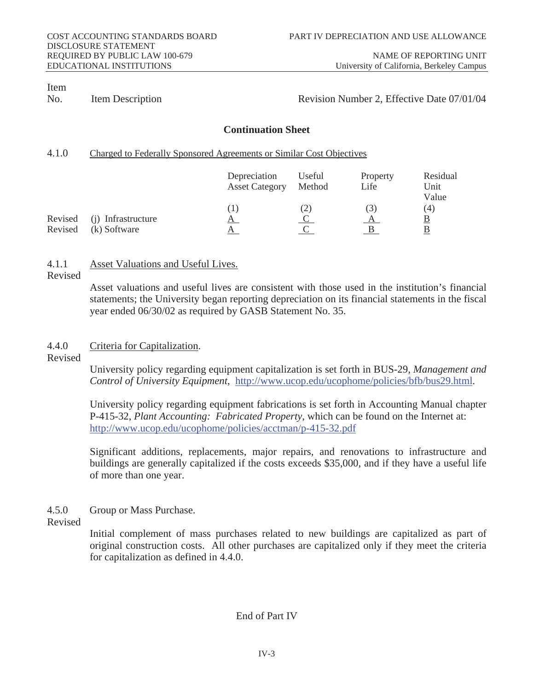EDUCATIONAL INSTITUTIONS University of California, Berkeley Campus

# Item

#### No. Item Description **Revision Number 2, Effective Date 07/01/04**

### **Continuation Sheet**

# 4.1.0 Charged to Federally Sponsored Agreements or Similar Cost Objectives

|                |                    | Depreciation<br><b>Asset Category</b> | <b>Useful</b><br><b>Method</b> | <b>Property</b><br>Life | <b>Residual</b><br>Unit<br><b>Value</b> |
|----------------|--------------------|---------------------------------------|--------------------------------|-------------------------|-----------------------------------------|
|                |                    |                                       | (2)                            | (3)                     | (4)                                     |
| <b>Revised</b> | (j) Infrastructure | $\mathbf{A}$                          |                                |                         | <u>B</u>                                |
| <b>Revised</b> | (k) Software       |                                       |                                |                         |                                         |

# 4.1.1 Asset Valuations and Useful Lives.

Revised

 Asset valuations and useful lives are consistent with those used in the institution's financial statements; the University began reporting depreciation on its financial statements in the fiscal year ended 06/30/02 as required by GASB Statement No. 35.

# 4.4.0 Criteria for Capitalization.

Revised

 University policy regarding equipment capitalization is set forth in BUS-29, *Management and Control of University Equipment,* http://www.ucop.edu/ucophome/policies/bfb/bus29.html.

 University policy regarding equipment fabrications is set forth in Accounting Manual chapter P-415-32, *Plant Accounting: Fabricated Property*, which can be found on the Internet at: http://www.ucop.edu/ucophome/policies/acctman/p-415-32.pdf

Significant additions, replacements, major repairs, and renovations to infrastructure and buildings are generally capitalized if the costs exceeds \$35,000, and if they have a useful life of more than one year.

4.5.0 Group or Mass Purchase.

Revised

 Initial complement of mass purchases related to new buildings are capitalized as part of original construction costs. All other purchases are capitalized only if they meet the criteria for capitalization as defined in 4.4.0.

# End of Part IV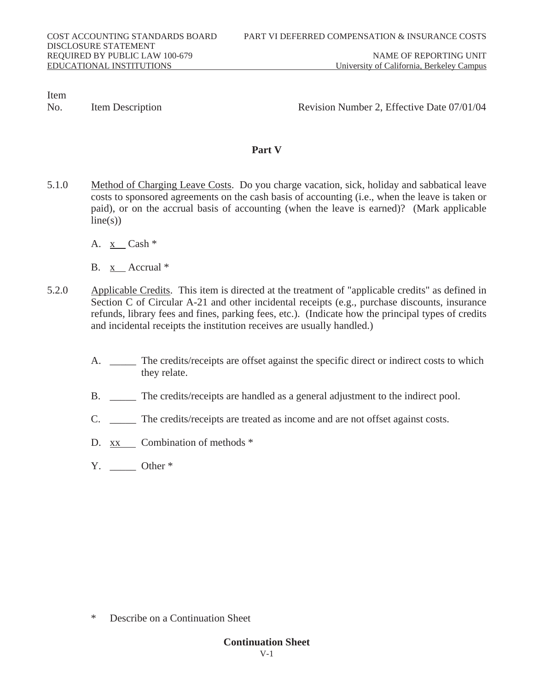No. Item Description **Revision Number 2, Effective Date 07/01/04** 

# **Part V**

- 5.1.0 Method of Charging Leave Costs. Do you charge vacation, sick, holiday and sabbatical leave costs to sponsored agreements on the cash basis of accounting (i.e., when the leave is taken or paid), or on the accrual basis of accounting (when the leave is earned)? (Mark applicable  $line(s)$ 
	- A. x Cash \*
	- B. x Accrual \*
- 5.2.0 Applicable Credits. This item is directed at the treatment of "applicable credits" as defined in Section C of Circular A-21 and other incidental receipts (e.g., purchase discounts, insurance refunds, library fees and fines, parking fees, etc.). (Indicate how the principal types of credits and incidental receipts the institution receives are usually handled.)
	- A. \_\_\_\_\_ The credits/receipts are offset against the specific direct or indirect costs to which they relate.
	- B. \_\_\_\_\_ The credits/receipts are handled as a general adjustment to the indirect pool.
	- C. \_\_\_\_\_ The credits/receipts are treated as income and are not offset against costs.
	- D. xx Combination of methods \*
	- $Y.$  Other  $*$

\* Describe on a Continuation Sheet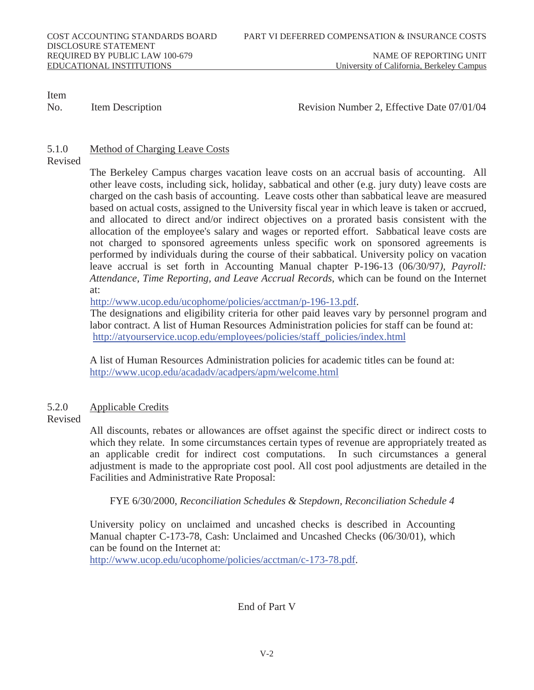No. Item Description **Revision Number 2, Effective Date 07/01/04** 

# 5.1.0 Method of Charging Leave Costs

Revised

 The Berkeley Campus charges vacation leave costs on an accrual basis of accounting. All other leave costs, including sick, holiday, sabbatical and other (e.g. jury duty) leave costs are charged on the cash basis of accounting. Leave costs other than sabbatical leave are measured based on actual costs, assigned to the University fiscal year in which leave is taken or accrued, and allocated to direct and/or indirect objectives on a prorated basis consistent with the allocation of the employee's salary and wages or reported effort. Sabbatical leave costs are not charged to sponsored agreements unless specific work on sponsored agreements is performed by individuals during the course of their sabbatical. University policy on vacation leave accrual is set forth in Accounting Manual chapter P-196-13 (06/30/97*), Payroll: Attendance, Time Reporting, and Leave Accrual Records*, which can be found on the Internet at:

http://www.ucop.edu/ucophome/policies/acctman/p-196-13.pdf.

The designations and eligibility criteria for other paid leaves vary by personnel program and labor contract. A list of Human Resources Administration policies for staff can be found at: http://atyourservice.ucop.edu/employees/policies/staff\_policies/index.html

 A list of Human Resources Administration policies for academic titles can be found at: http://www.ucop.edu/acadadv/acadpers/apm/welcome.html

# 5.2.0 Applicable Credits

# Revised

 All discounts, rebates or allowances are offset against the specific direct or indirect costs to which they relate. In some circumstances certain types of revenue are appropriately treated as an applicable credit for indirect cost computations. In such circumstances a general adjustment is made to the appropriate cost pool. All cost pool adjustments are detailed in the Facilities and Administrative Rate Proposal:

FYE 6/30/2000, *Reconciliation Schedules & Stepdown, Reconciliation Schedule 4*

 University policy on unclaimed and uncashed checks is described in Accounting Manual chapter C-173-78, Cash: Unclaimed and Uncashed Checks (06/30/01), which can be found on the Internet at:

http://www.ucop.edu/ucophome/policies/acctman/c-173-78.pdf.

# End of Part V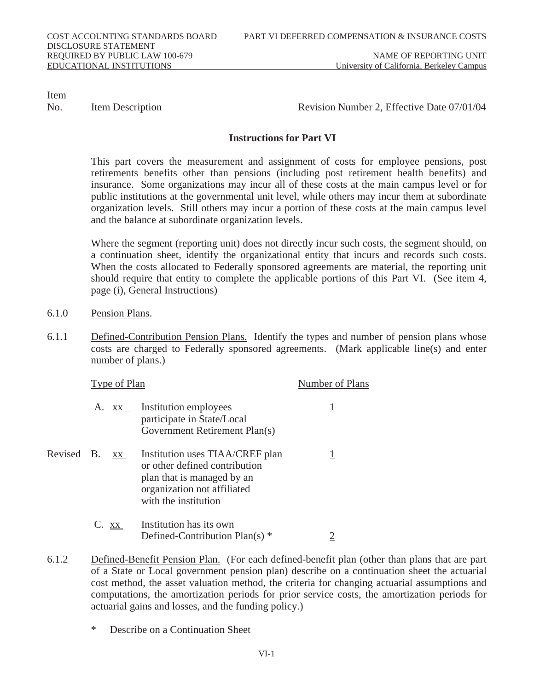No. Item Description **Revision Number 2, Effective Date 07/01/04** 

# **Instructions for Part VI**

 This part covers the measurement and assignment of costs for employee pensions, post retirements benefits other than pensions (including post retirement health benefits) and insurance. Some organizations may incur all of these costs at the main campus level or for public institutions at the governmental unit level, while others may incur them at subordinate organization levels. Still others may incur a portion of these costs at the main campus level and the balance at subordinate organization levels.

 Where the segment (reporting unit) does not directly incur such costs, the segment should, on a continuation sheet, identify the organizational entity that incurs and records such costs. When the costs allocated to Federally sponsored agreements are material, the reporting unit should require that entity to complete the applicable portions of this Part VI. (See item 4, page (i), General Instructions)

- 6.1.0 Pension Plans.
- 6.1.1 Defined-Contribution Pension Plans. Identify the types and number of pension plans whose costs are charged to Federally sponsored agreements. (Mark applicable line(s) and enter number of plans.)

|            | <b>Type of Plan</b> |         |                                                                                                                                                       | <b>Number of Plans</b> |
|------------|---------------------|---------|-------------------------------------------------------------------------------------------------------------------------------------------------------|------------------------|
|            |                     |         | A. xx Institution employees<br>participate in State/Local<br><b>Government Retirement Plan(s)</b>                                                     |                        |
| Revised B. |                     | XX      | Institution uses TIAA/CREF plan<br>or other defined contribution<br>plan that is managed by an<br>organization not affiliated<br>with the institution |                        |
|            |                     | $C.$ XX | Institution has its own<br>Defined-Contribution Plan(s) *                                                                                             |                        |

- 6.1.2 Defined-Benefit Pension Plan. (For each defined-benefit plan (other than plans that are part of a State or Local government pension plan) describe on a continuation sheet the actuarial cost method, the asset valuation method, the criteria for changing actuarial assumptions and computations, the amortization periods for prior service costs, the amortization periods for actuarial gains and losses, and the funding policy.)
	- Describe on a Continuation Sheet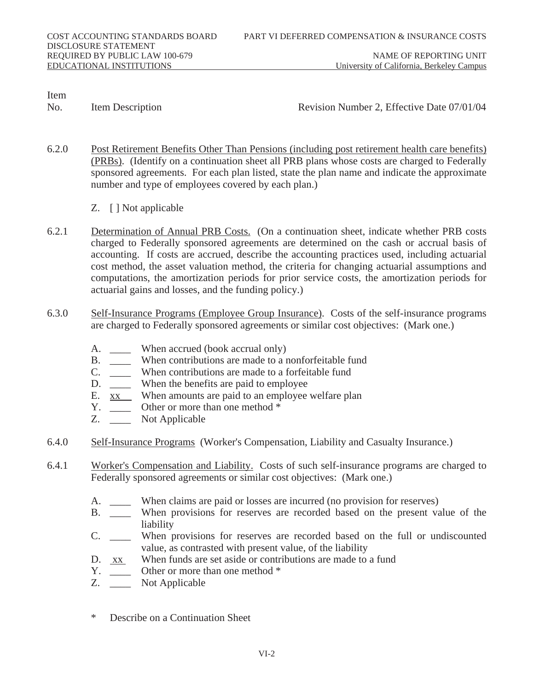No. Item Description **Revision Number 2, Effective Date 07/01/04** 

- 6.2.0 Post Retirement Benefits Other Than Pensions (including post retirement health care benefits) (PRBs). (Identify on a continuation sheet all PRB plans whose costs are charged to Federally sponsored agreements. For each plan listed, state the plan name and indicate the approximate number and type of employees covered by each plan.)
	- Z. [ ] Not applicable
- 6.2.1 Determination of Annual PRB Costs. (On a continuation sheet, indicate whether PRB costs charged to Federally sponsored agreements are determined on the cash or accrual basis of accounting. If costs are accrued, describe the accounting practices used, including actuarial cost method, the asset valuation method, the criteria for changing actuarial assumptions and computations, the amortization periods for prior service costs, the amortization periods for actuarial gains and losses, and the funding policy.)
- 6.3.0 Self-Insurance Programs (Employee Group Insurance). Costs of the self-insurance programs are charged to Federally sponsored agreements or similar cost objectives: (Mark one.)
	- A. \_\_\_\_\_ When accrued (book accrual only)
	-
	- B. \_\_\_\_\_ When contributions are made to a nonforfeitable fund C. When contributions are made to a forfeitable fund C. \_\_\_\_ When contributions are made to a forfeitable fund
	- D. \_\_\_\_\_ When the benefits are paid to employee
	- E.  $\overline{xx}$  When amounts are paid to an employee welfare plan Y.
	- Other or more than one method  $*$
	- Z. \_\_\_\_ Not Applicable
- 6.4.0 Self-Insurance Programs (Worker's Compensation, Liability and Casualty Insurance.)
- 6.4.1 Worker's Compensation and Liability. Costs of such self-insurance programs are charged to Federally sponsored agreements or similar cost objectives: (Mark one.)
	- A. \_\_\_\_\_ When claims are paid or losses are incurred (no provision for reserves)
	- B. \_\_\_\_ When provisions for reserves are recorded based on the present value of the liability
	- C. \_\_\_\_ When provisions for reserves are recorded based on the full or undiscounted value, as contrasted with present value, of the liability
	- D.  $\overline{xx}$  When funds are set aside or contributions are made to a fund Y. Other or more than one method  $*$
	- Y. \_\_\_\_\_ Other or more than one method \*<br>Z. Not Applicable
	- Not Applicable
	- Describe on a Continuation Sheet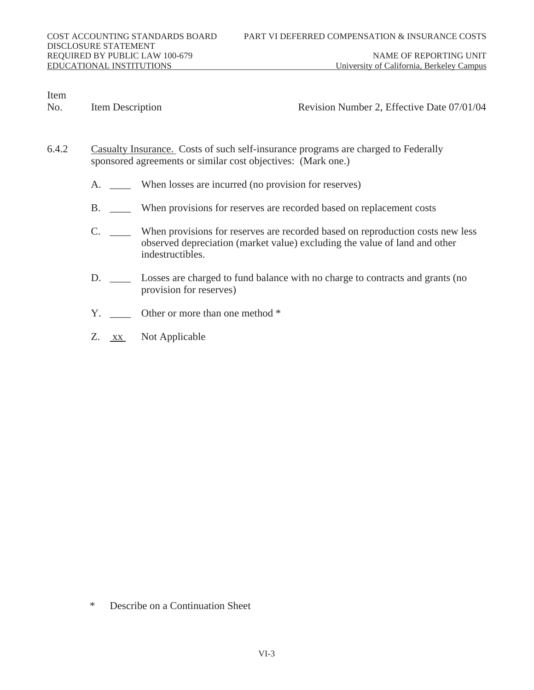EDUCATIONAL INSTITUTIONS University of California, Berkeley Campus

Item<br>No.

Item Description **Revision Number 2, Effective Date 07/01/04** 

- 6.4.2 Casualty Insurance. Costs of such self-insurance programs are charged to Federally sponsored agreements or similar cost objectives: (Mark one.)
	- A. \_\_\_\_\_\_ When losses are incurred (no provision for reserves)
	- B. \_\_\_\_ When provisions for reserves are recorded based on replacement costs
	- C. \_\_\_\_ When provisions for reserves are recorded based on reproduction costs new less observed depreciation (market value) excluding the value of land and other indestructibles.
	- D. \_\_\_\_ Losses are charged to fund balance with no charge to contracts and grants (no provision for reserves)
	- Y. Cher or more than one method \*
	- Z. xx Not Applicable

\* Describe on a Continuation Sheet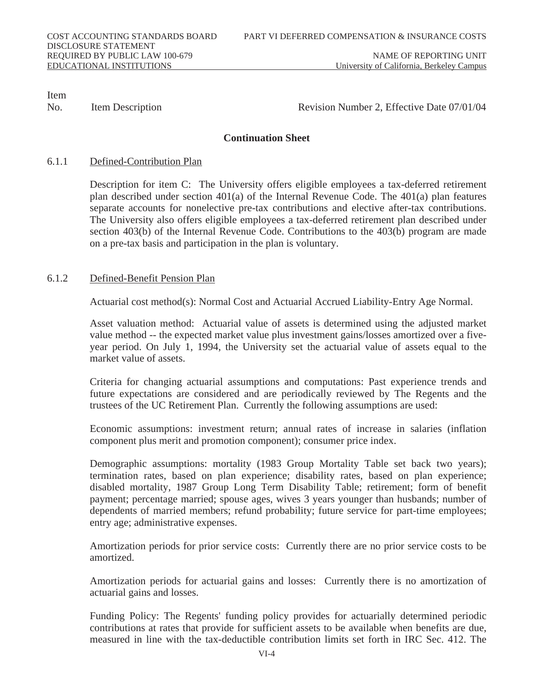No. Item Description **Revision Number 2, Effective Date 07/01/04** 

# **Continuation Sheet**

# 6.1.1 Defined-Contribution Plan

 Description for item C: The University offers eligible employees a tax-deferred retirement plan described under section 401(a) of the Internal Revenue Code. The 401(a) plan features separate accounts for nonelective pre-tax contributions and elective after-tax contributions. The University also offers eligible employees a tax-deferred retirement plan described under section 403(b) of the Internal Revenue Code. Contributions to the 403(b) program are made on a pre-tax basis and participation in the plan is voluntary.

# 6.1.2 Defined-Benefit Pension Plan

Actuarial cost method(s): Normal Cost and Actuarial Accrued Liability-Entry Age Normal.

 Asset valuation method: Actuarial value of assets is determined using the adjusted market value method -- the expected market value plus investment gains/losses amortized over a fiveyear period. On July 1, 1994, the University set the actuarial value of assets equal to the market value of assets.

 Criteria for changing actuarial assumptions and computations: Past experience trends and future expectations are considered and are periodically reviewed by The Regents and the trustees of the UC Retirement Plan. Currently the following assumptions are used:

 Economic assumptions: investment return; annual rates of increase in salaries (inflation component plus merit and promotion component); consumer price index.

 Demographic assumptions: mortality (1983 Group Mortality Table set back two years); termination rates, based on plan experience; disability rates, based on plan experience; disabled mortality, 1987 Group Long Term Disability Table; retirement; form of benefit payment; percentage married; spouse ages, wives 3 years younger than husbands; number of dependents of married members; refund probability; future service for part-time employees; entry age; administrative expenses.

 Amortization periods for prior service costs: Currently there are no prior service costs to be amortized.

 Amortization periods for actuarial gains and losses: Currently there is no amortization of actuarial gains and losses.

Funding Policy: The Regents' funding policy provides for actuarially determined periodic contributions at rates that provide for sufficient assets to be available when benefits are due, measured in line with the tax-deductible contribution limits set forth in IRC Sec. 412. The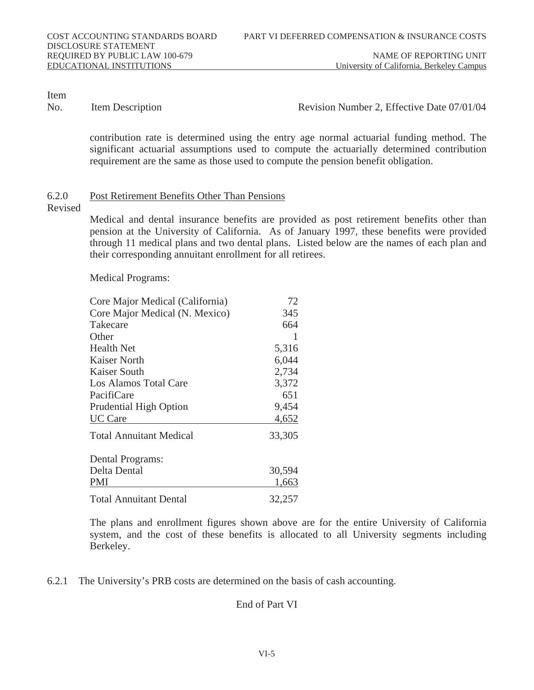EDUCATIONAL INSTITUTIONS University of California, Berkeley Campus

Item<br>No.

#### Item Description **Number 2, Effective Date 07/01/04**

contribution rate is determined using the entry age normal actuarial funding method. The significant actuarial assumptions used to compute the actuarially determined contribution requirement are the same as those used to compute the pension benefit obligation.

#### 6.2.0 Post Retirement Benefits Other Than Pensions

Revised

 Medical and dental insurance benefits are provided as post retirement benefits other than pension at the University of California. As of January 1997, these benefits were provided through 11 medical plans and two dental plans. Listed below are the names of each plan and their corresponding annuitant enrollment for all retirees.

Medical Programs:

| <b>Core Major Medical (California)</b> | 72     |
|----------------------------------------|--------|
| Core Major Medical (N. Mexico)         | 345    |
| <b>Takecare</b>                        | 664    |
| <b>Other</b>                           | 1      |
| <b>Health Net</b>                      | 5,316  |
| <b>Kaiser North</b>                    | 6,044  |
| <b>Kaiser South</b>                    | 2,734  |
| <b>Los Alamos Total Care</b>           | 3,372  |
| PacifiCare                             | 651    |
| <b>Prudential High Option</b>          | 9,454  |
| <b>UC</b> Care                         | 4,652  |
| <b>Total Annuitant Medical</b>         | 33,305 |
| <b>Dental Programs:</b>                |        |
| <b>Delta Dental</b>                    | 30,594 |
| PMI                                    | 1,663  |
| <b>Total Annuitant Dental</b>          | 32,257 |

 The plans and enrollment figures shown above are for the entire University of California system, and the cost of these benefits is allocated to all University segments including Berkeley.

#### 6.2.1 The University's PRB costs are determined on the basis of cash accounting.

# End of Part VI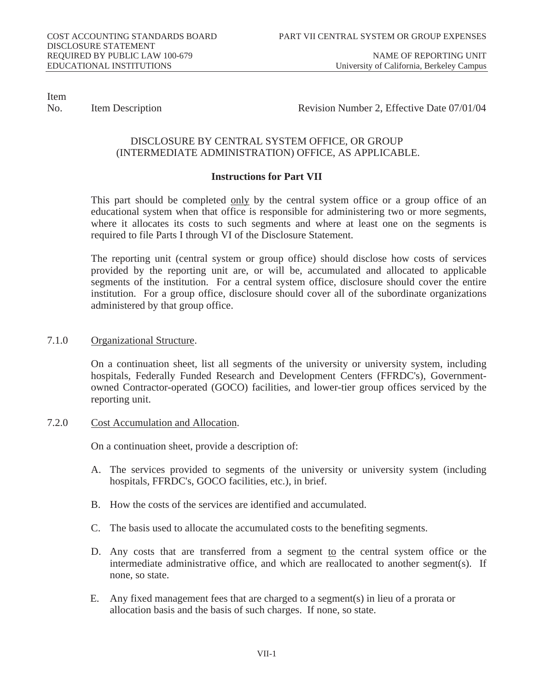EDUCATIONAL INSTITUTIONS University of California, Berkeley Campus

Item

No. Item Description **Revision Number 2, Effective Date 07/01/04** 

# DISCLOSURE BY CENTRAL SYSTEM OFFICE, OR GROUP (INTERMEDIATE ADMINISTRATION) OFFICE, AS APPLICABLE.

# **Instructions for Part VII**

 This part should be completed only by the central system office or a group office of an educational system when that office is responsible for administering two or more segments, where it allocates its costs to such segments and where at least one on the segments is required to file Parts I through VI of the Disclosure Statement.

 The reporting unit (central system or group office) should disclose how costs of services provided by the reporting unit are, or will be, accumulated and allocated to applicable segments of the institution. For a central system office, disclosure should cover the entire institution. For a group office, disclosure should cover all of the subordinate organizations administered by that group office.

# 7.1.0 Organizational Structure.

 On a continuation sheet, list all segments of the university or university system, including hospitals, Federally Funded Research and Development Centers (FFRDC's), Governmentowned Contractor-operated (GOCO) facilities, and lower-tier group offices serviced by the reporting unit.

# 7.2.0 Cost Accumulation and Allocation.

On a continuation sheet, provide a description of:

- A. The services provided to segments of the university or university system (including hospitals, FFRDC's, GOCO facilities, etc.), in brief.
- B. How the costs of the services are identified and accumulated.
- C. The basis used to allocate the accumulated costs to the benefiting segments.
- D. Any costs that are transferred from a segment to the central system office or the intermediate administrative office, and which are reallocated to another segment(s). If none, so state.
- E. Any fixed management fees that are charged to a segment(s) in lieu of a prorata or allocation basis and the basis of such charges. If none, so state.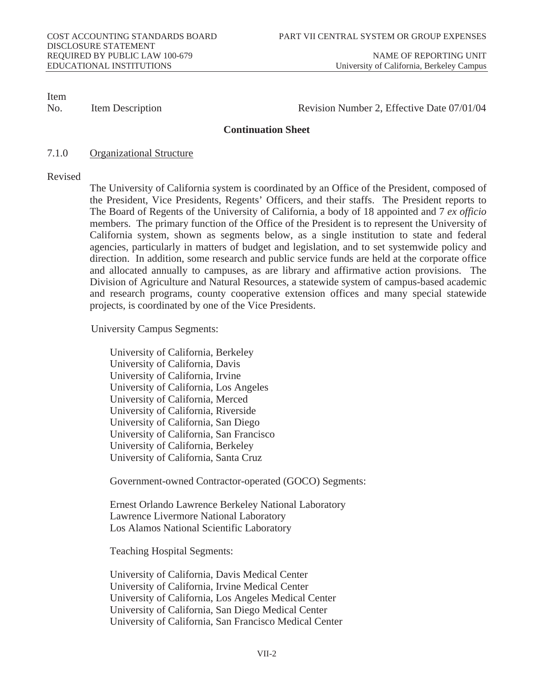No. Item Description **Revision Number 2, Effective Date 07/01/04** 

### **Continuation Sheet**

7.1.0 Organizational Structure

#### Revised

 The University of California system is coordinated by an Office of the President, composed of the President, Vice Presidents, Regents' Officers, and their staffs. The President reports to The Board of Regents of the University of California, a body of 18 appointed and 7 *ex officio*  members. The primary function of the Office of the President is to represent the University of California system, shown as segments below, as a single institution to state and federal agencies, particularly in matters of budget and legislation, and to set systemwide policy and direction. In addition, some research and public service funds are held at the corporate office and allocated annually to campuses, as are library and affirmative action provisions. The Division of Agriculture and Natural Resources, a statewide system of campus-based academic and research programs, county cooperative extension offices and many special statewide projects, is coordinated by one of the Vice Presidents.

University Campus Segments:

 University of California, Berkeley University of California, Davis University of California, Irvine University of California, Los Angeles University of California, Merced University of California, Riverside University of California, San Diego University of California, San Francisco University of California, Berkeley University of California, Santa Cruz

Government-owned Contractor-operated (GOCO) Segments:

 Ernest Orlando Lawrence Berkeley National Laboratory Lawrence Livermore National Laboratory Los Alamos National Scientific Laboratory

Teaching Hospital Segments:

 University of California, Davis Medical Center University of California, Irvine Medical Center University of California, Los Angeles Medical Center University of California, San Diego Medical Center University of California, San Francisco Medical Center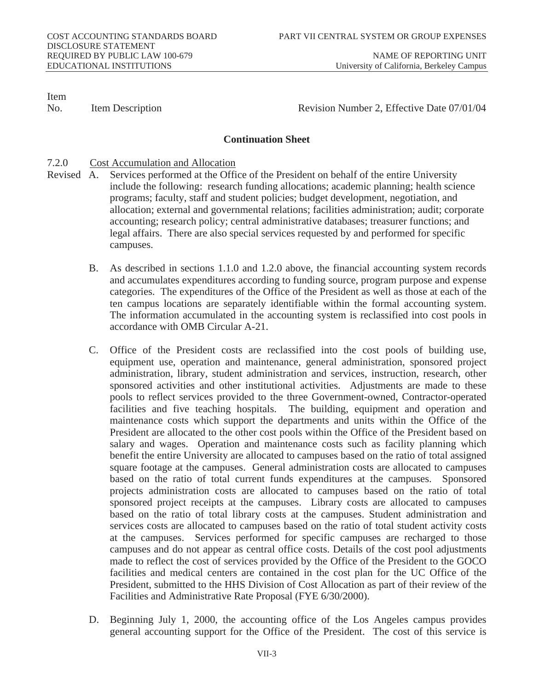No. Item Description **Revision Number 2, Effective Date 07/01/04** 

# **Continuation Sheet**

### 7.2.0 Cost Accumulation and Allocation

- Revised A. Services performed at the Office of the President on behalf of the entire University include the following: research funding allocations; academic planning; health science programs; faculty, staff and student policies; budget development, negotiation, and allocation; external and governmental relations; facilities administration; audit; corporate accounting; research policy; central administrative databases; treasurer functions; and legal affairs. There are also special services requested by and performed for specific campuses.
	- B. As described in sections 1.1.0 and 1.2.0 above, the financial accounting system records and accumulates expenditures according to funding source, program purpose and expense categories. The expenditures of the Office of the President as well as those at each of the ten campus locations are separately identifiable within the formal accounting system. The information accumulated in the accounting system is reclassified into cost pools in accordance with OMB Circular A-21.
	- C. Office of the President costs are reclassified into the cost pools of building use, equipment use, operation and maintenance, general administration, sponsored project administration, library, student administration and services, instruction, research, other sponsored activities and other institutional activities. Adjustments are made to these pools to reflect services provided to the three Government-owned, Contractor-operated facilities and five teaching hospitals. The building, equipment and operation and maintenance costs which support the departments and units within the Office of the President are allocated to the other cost pools within the Office of the President based on salary and wages. Operation and maintenance costs such as facility planning which benefit the entire University are allocated to campuses based on the ratio of total assigned square footage at the campuses. General administration costs are allocated to campuses based on the ratio of total current funds expenditures at the campuses. Sponsored projects administration costs are allocated to campuses based on the ratio of total sponsored project receipts at the campuses. Library costs are allocated to campuses based on the ratio of total library costs at the campuses. Student administration and services costs are allocated to campuses based on the ratio of total student activity costs at the campuses. Services performed for specific campuses are recharged to those campuses and do not appear as central office costs. Details of the cost pool adjustments made to reflect the cost of services provided by the Office of the President to the GOCO facilities and medical centers are contained in the cost plan for the UC Office of the President, submitted to the HHS Division of Cost Allocation as part of their review of the Facilities and Administrative Rate Proposal (FYE 6/30/2000).
	- D. Beginning July 1, 2000, the accounting office of the Los Angeles campus provides general accounting support for the Office of the President. The cost of this service is